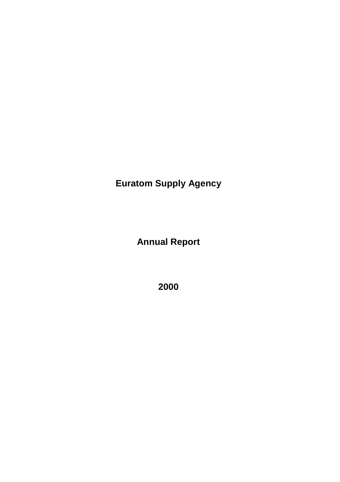**Euratom Supply Agency**

**Annual Report**

**2000**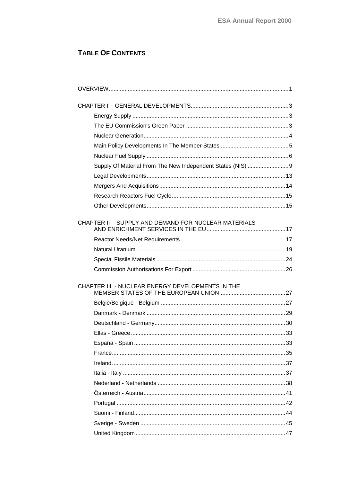# TABLE OF CONTENTS

| Supply Of Material From The New Independent States (NIS) 9 |  |
|------------------------------------------------------------|--|
|                                                            |  |
|                                                            |  |
|                                                            |  |
|                                                            |  |
| CHAPTER II - SUPPLY AND DEMAND FOR NUCLEAR MATERIALS       |  |
|                                                            |  |
|                                                            |  |
|                                                            |  |
|                                                            |  |
| CHAPTER III - NUCLEAR ENERGY DEVELOPMENTS IN THE           |  |
|                                                            |  |
|                                                            |  |
|                                                            |  |
|                                                            |  |
|                                                            |  |
|                                                            |  |
|                                                            |  |
|                                                            |  |
|                                                            |  |
|                                                            |  |
|                                                            |  |
|                                                            |  |
|                                                            |  |
|                                                            |  |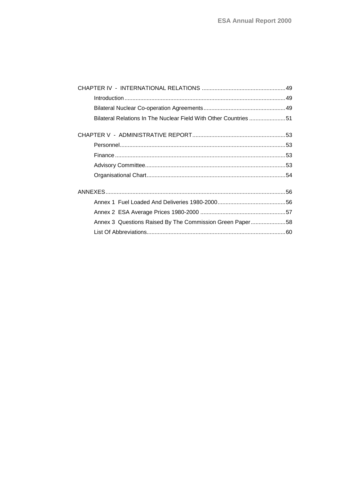| Bilateral Relations In The Nuclear Field With Other Countries 51 |  |
|------------------------------------------------------------------|--|
|                                                                  |  |
|                                                                  |  |
|                                                                  |  |
|                                                                  |  |
|                                                                  |  |
|                                                                  |  |
|                                                                  |  |
|                                                                  |  |
| Annex 3 Questions Raised By The Commission Green Paper58         |  |
|                                                                  |  |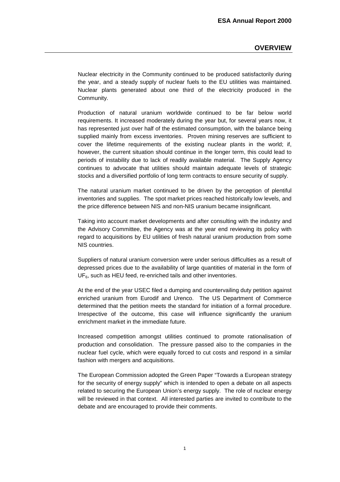## **OVERVIEW**

<span id="page-4-0"></span>Nuclear electricity in the Community continued to be produced satisfactorily during the year, and a steady supply of nuclear fuels to the EU utilities was maintained. Nuclear plants generated about one third of the electricity produced in the Community.

Production of natural uranium worldwide continued to be far below world requirements. It increased moderately during the year but, for several years now, it has represented just over half of the estimated consumption, with the balance being supplied mainly from excess inventories. Proven mining reserves are sufficient to cover the lifetime requirements of the existing nuclear plants in the world; if, however, the current situation should continue in the longer term, this could lead to periods of instability due to lack of readily available material. The Supply Agency continues to advocate that utilities should maintain adequate levels of strategic stocks and a diversified portfolio of long term contracts to ensure security of supply.

The natural uranium market continued to be driven by the perception of plentiful inventories and supplies. The spot market prices reached historically low levels, and the price difference between NIS and non-NIS uranium became insignificant.

Taking into account market developments and after consulting with the industry and the Advisory Committee, the Agency was at the year end reviewing its policy with regard to acquisitions by EU utilities of fresh natural uranium production from some NIS countries.

Suppliers of natural uranium conversion were under serious difficulties as a result of depressed prices due to the availability of large quantities of material in the form of  $UF<sub>6</sub>$ , such as HEU feed, re-enriched tails and other inventories.

At the end of the year USEC filed a dumping and countervailing duty petition against enriched uranium from Eurodif and Urenco. The US Department of Commerce determined that the petition meets the standard for initiation of a formal procedure. Irrespective of the outcome, this case will influence significantly the uranium enrichment market in the immediate future.

Increased competition amongst utilities continued to promote rationalisation of production and consolidation. The pressure passed also to the companies in the nuclear fuel cycle, which were equally forced to cut costs and respond in a similar fashion with mergers and acquisitions.

The European Commission adopted the Green Paper "Towards a European strategy for the security of energy supply" which is intended to open a debate on all aspects related to securing the European Union's energy supply. The role of nuclear energy will be reviewed in that context. All interested parties are invited to contribute to the debate and are encouraged to provide their comments.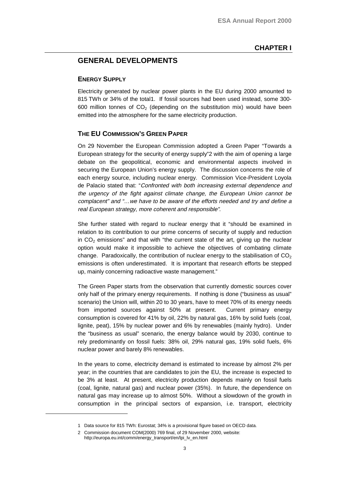## <span id="page-6-0"></span>**GENERAL DEVELOPMENTS**

### **ENERGY SUPPLY**

Electricity generated by nuclear power plants in the EU during 2000 amounted to 815 TWh or 34% of the total1. If fossil sources had been used instead, some 300- 600 million tonnes of  $CO<sub>2</sub>$  (depending on the substitution mix) would have been emitted into the atmosphere for the same electricity production.

## **THE EU COMMISSION'S GREEN PAPER**

On 29 November the European Commission adopted a Green Paper "Towards a European strategy for the security of energy supply"2 with the aim of opening a large debate on the geopolitical, economic and environmental aspects involved in securing the European Union's energy supply. The discussion concerns the role of each energy source, including nuclear energy. Commission Vice-President Loyola de Palacio stated that: "Confronted with both increasing external dependence and the urgency of the fight against climate change, the European Union cannot be complacent" and "…we have to be aware of the efforts needed and try and define <sup>a</sup> real European strategy, more coherent and responsible".

She further stated with regard to nuclear energy that it "should be examined in relation to its contribution to our prime concerns of security of supply and reduction in  $CO<sub>2</sub>$  emissions" and that with "the current state of the art, giving up the nuclear option would make it impossible to achieve the objectives of combating climate change. Paradoxically, the contribution of nuclear energy to the stabilisation of  $CO<sub>2</sub>$ emissions is often underestimated. It is important that research efforts be stepped up, mainly concerning radioactive waste management."

The Green Paper starts from the observation that currently domestic sources cover only half of the primary energy requirements. If nothing is done ("business as usual" scenario) the Union will, within 20 to 30 years, have to meet 70% of its energy needs from imported sources against 50% at present. Current primary energy consumption is covered for 41% by oil, 22% by natural gas, 16% by solid fuels (coal, lignite, peat), 15% by nuclear power and 6% by renewables (mainly hydro). Under the "business as usual" scenario, the energy balance would by 2030, continue to rely predominantly on fossil fuels: 38% oil, 29% natural gas, 19% solid fuels, 6% nuclear power and barely 8% renewables.

In the years to come, electricity demand is estimated to increase by almost 2% per year; in the countries that are candidates to join the EU, the increase is expected to be 3% at least. At present, electricity production depends mainly on fossil fuels (coal, lignite, natural gas) and nuclear power (35%). In future, the dependence on natural gas may increase up to almost 50%. Without a slowdown of the growth in consumption in the principal sectors of expansion, i.e. transport, electricity

<sup>1</sup> Data source for 815 TWh: Eurostat; 34% is a provisional figure based on OECD data.

<sup>2</sup> Commission document COM(2000) 769 final, of 29 November 2000, website: http://europa.eu.int/comm/energy\_transport/en/lpi\_lv\_en.html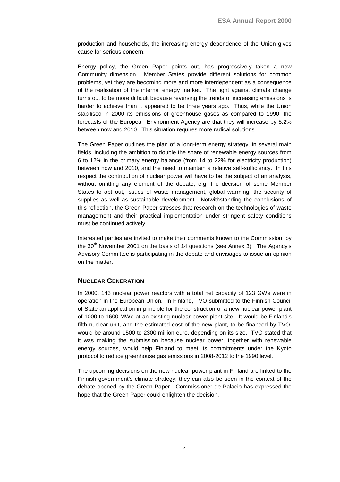<span id="page-7-0"></span>production and households, the increasing energy dependence of the Union gives cause for serious concern.

Energy policy, the Green Paper points out, has progressively taken a new Community dimension. Member States provide different solutions for common problems, yet they are becoming more and more interdependent as a consequence of the realisation of the internal energy market. The fight against climate change turns out to be more difficult because reversing the trends of increasing emissions is harder to achieve than it appeared to be three years ago. Thus, while the Union stabilised in 2000 its emissions of greenhouse gases as compared to 1990, the forecasts of the European Environment Agency are that they will increase by 5.2% between now and 2010. This situation requires more radical solutions.

The Green Paper outlines the plan of a long-term energy strategy, in several main fields, including the ambition to double the share of renewable energy sources from 6 to 12% in the primary energy balance (from 14 to 22% for electricity production) between now and 2010, and the need to maintain a relative self-sufficiency. In this respect the contribution of nuclear power will have to be the subject of an analysis, without omitting any element of the debate, e.g. the decision of some Member States to opt out, issues of waste management, global warming, the security of supplies as well as sustainable development. Notwithstanding the conclusions of this reflection, the Green Paper stresses that research on the technologies of waste management and their practical implementation under stringent safety conditions must be continued actively.

Interested parties are invited to make their comments known to the Commission, by the  $30<sup>th</sup>$  November 2001 on the basis of 14 questions (see Annex 3). The Agency's Advisory Committee is participating in the debate and envisages to issue an opinion on the matter.

## **NUCLEAR GENERATION**

In 2000, 143 nuclear power reactors with a total net capacity of 123 GWe were in operation in the European Union. In Finland, TVO submitted to the Finnish Council of State an application in principle for the construction of a new nuclear power plant of 1000 to 1600 MWe at an existing nuclear power plant site. It would be Finland's fifth nuclear unit, and the estimated cost of the new plant, to be financed by TVO, would be around 1500 to 2300 million euro, depending on its size. TVO stated that it was making the submission because nuclear power, together with renewable energy sources, would help Finland to meet its commitments under the Kyoto protocol to reduce greenhouse gas emissions in 2008-2012 to the 1990 level.

The upcoming decisions on the new nuclear power plant in Finland are linked to the Finnish government's climate strategy; they can also be seen in the context of the debate opened by the Green Paper. Commissioner de Palacio has expressed the hope that the Green Paper could enlighten the decision.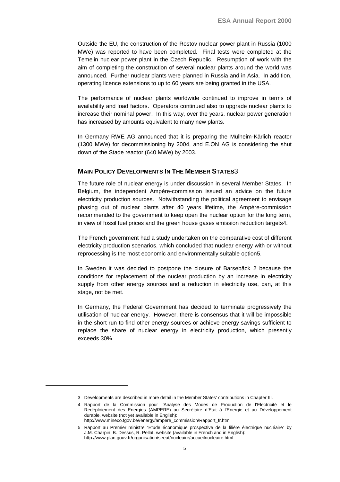<span id="page-8-0"></span>Outside the EU, the construction of the Rostov nuclear power plant in Russia (1000 MWe) was reported to have been completed. Final tests were completed at the Temelin nuclear power plant in the Czech Republic. Resumption of work with the aim of completing the construction of several nuclear plants around the world was announced. Further nuclear plants were planned in Russia and in Asia. In addition, operating licence extensions to up to 60 years are being granted in the USA.

The performance of nuclear plants worldwide continued to improve in terms of availability and load factors. Operators continued also to upgrade nuclear plants to increase their nominal power. In this way, over the years, nuclear power generation has increased by amounts equivalent to many new plants.

In Germany RWE AG announced that it is preparing the Mülheim-Kärlich reactor (1300 MWe) for decommissioning by 2004, and E.ON AG is considering the shut down of the Stade reactor (640 MWe) by 2003.

### **MAIN POLICY DEVELOPMENTS IN THE MEMBER STATES**3

The future role of nuclear energy is under discussion in several Member States. In Belgium, the independent Ampère-commission issued an advice on the future electricity production sources. Notwithstanding the political agreement to envisage phasing out of nuclear plants after 40 years lifetime, the Ampère-commission recommended to the government to keep open the nuclear option for the long term, in view of fossil fuel prices and the green house gases emission reduction targets4.

The French government had a study undertaken on the comparative cost of different electricity production scenarios, which concluded that nuclear energy with or without reprocessing is the most economic and environmentally suitable option5.

In Sweden it was decided to postpone the closure of Barsebäck 2 because the conditions for replacement of the nuclear production by an increase in electricity supply from other energy sources and a reduction in electricity use, can, at this stage, not be met.

In Germany, the Federal Government has decided to terminate progressively the utilisation of nuclear energy. However, there is consensus that it will be impossible in the short run to find other energy sources or achieve energy savings sufficient to replace the share of nuclear energy in electricity production, which presently exceeds 30%.

<sup>3</sup> Developments are described in more detail in the Member States' contributions in Chapter III.

<sup>4</sup> Rapport de la Commission pour l'Analyse des Modes de Production de l'Electricité et le Redéploiement des Energies (AMPERE) au Secrétaire d'Etat à l'Energie et au Développement durable, website (not yet available in English): http://www.mineco.fgov.be//energy/ampere\_commission/Rapport\_fr.htm

<sup>5</sup> Rapport au Premier ministre "Etude économique prospective de la filière électrique nucléaire" by J.M. Charpin, B. Dessus, R. Pellat. website (available in French and in English): http://www.plan.gouv.fr/organisation/seeat/nucleaire/accueilnucleaire.html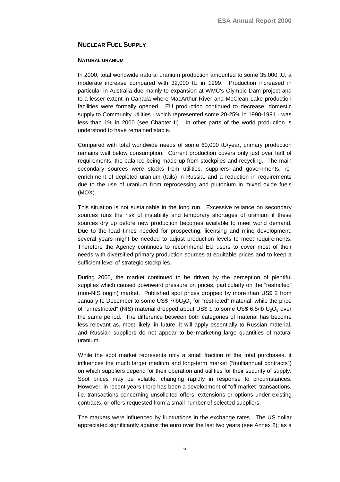## <span id="page-9-0"></span>**NUCLEAR FUEL SUPPLY**

#### **NATURAL URANIUM**

In 2000, total worldwide natural uranium production amounted to some 35,000 tU, a moderate increase compared with 32,000 tU in 1999. Production increased in particular in Australia due mainly to expansion at WMC's Olympic Dam project and to a lesser extent in Canada where MacArthur River and McClean Lake production facilities were formally opened. EU production continued to decrease; domestic supply to Community utilities - which represented some 20-25% in 1990-1991 - was less than 1% in 2000 (see Chapter II). In other parts of the world production is understood to have remained stable.

Compared with total worldwide needs of some 60,000 tU/year, primary production remains well below consumption. Current production covers only just over half of requirements, the balance being made up from stockpiles and recycling. The main secondary sources were stocks from utilities, suppliers and governments, reenrichment of depleted uranium (tails) in Russia, and a reduction in requirements due to the use of uranium from reprocessing and plutonium in mixed oxide fuels (MOX).

This situation is not sustainable in the long run. Excessive reliance on secondary sources runs the risk of instability and temporary shortages of uranium if these sources dry up before new production becomes available to meet world demand. Due to the lead times needed for prospecting, licensing and mine development, several years might be needed to adjust production levels to meet requirements. Therefore the Agency continues to recommend EU users to cover most of their needs with diversified primary production sources at equitable prices and to keep a sufficient level of strategic stockpiles.

During 2000, the market continued to be driven by the perception of plentiful supplies which caused downward pressure on prices, particularly on the "restricted" (non-NIS origin) market. Published spot prices dropped by more than US\$ 2 from January to December to some US\$ 7/ $I_0U_3O_8$  for "restricted" material, while the price of "unrestricted" (NIS) material dropped about US\$ 1 to some US\$ 6.5/lb  $U_3O_8$  over the same period. The difference between both categories of material has become less relevant as, most likely, in future, it will apply essentially to Russian material, and Russian suppliers do not appear to be marketing large quantities of natural uranium.

While the spot market represents only a small fraction of the total purchases, it influences the much larger medium and long-term market ("multiannual contracts") on which suppliers depend for their operation and utilities for their security of supply. Spot prices may be volatile, changing rapidly in response to circumstances. However, in recent years there has been a development of "off market" transactions, i.e. transactions concerning unsolicited offers, extensions or options under existing contracts, or offers requested from a small number of selected suppliers.

The markets were influenced by fluctuations in the exchange rates. The US dollar appreciated significantly against the euro over the last two years (see Annex 2); as a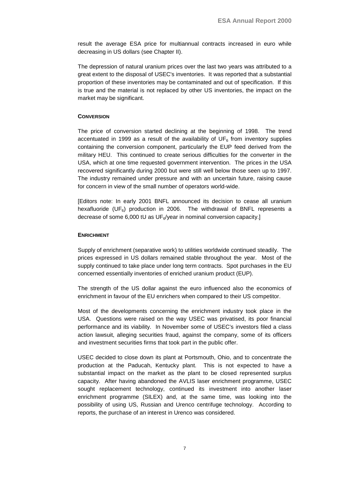result the average ESA price for multiannual contracts increased in euro while decreasing in US dollars (see Chapter II).

The depression of natural uranium prices over the last two years was attributed to a great extent to the disposal of USEC's inventories. It was reported that a substantial proportion of these inventories may be contaminated and out of specification. If this is true and the material is not replaced by other US inventories, the impact on the market may be significant.

### **CONVERSION**

The price of conversion started declining at the beginning of 1998. The trend accentuated in 1999 as a result of the availability of  $UF_6$  from inventory supplies containing the conversion component, particularly the EUP feed derived from the military HEU. This continued to create serious difficulties for the converter in the USA, which at one time requested government intervention. The prices in the USA recovered significantly during 2000 but were still well below those seen up to 1997. The industry remained under pressure and with an uncertain future, raising cause for concern in view of the small number of operators world-wide.

[Editors note: In early 2001 BNFL announced its decision to cease all uranium hexafluoride (UF<sub>6</sub>) production in 2006. The withdrawal of BNFL represents a decrease of some 6,000 tU as UF $_{6}$ /year in nominal conversion capacity.]

#### **ENRICHMENT**

Supply of enrichment (separative work) to utilities worldwide continued steadily. The prices expressed in US dollars remained stable throughout the year. Most of the supply continued to take place under long term contracts. Spot purchases in the EU concerned essentially inventories of enriched uranium product (EUP).

The strength of the US dollar against the euro influenced also the economics of enrichment in favour of the EU enrichers when compared to their US competitor.

Most of the developments concerning the enrichment industry took place in the USA. Questions were raised on the way USEC was privatised, its poor financial performance and its viability. In November some of USEC's investors filed a class action lawsuit, alleging securities fraud, against the company, some of its officers and investment securities firms that took part in the public offer.

USEC decided to close down its plant at Portsmouth, Ohio, and to concentrate the production at the Paducah, Kentucky plant. This is not expected to have a substantial impact on the market as the plant to be closed represented surplus capacity. After having abandoned the AVLIS laser enrichment programme, USEC sought replacement technology, continued its investment into another laser enrichment programme (SILEX) and, at the same time, was looking into the possibility of using US, Russian and Urenco centrifuge technology. According to reports, the purchase of an interest in Urenco was considered.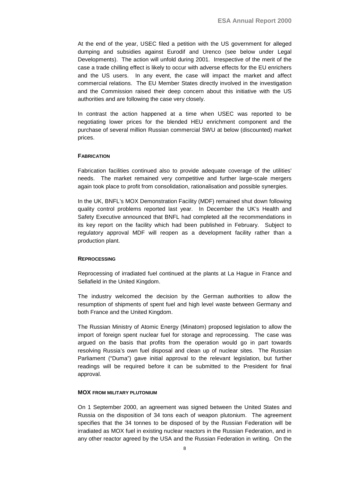At the end of the year, USEC filed a petition with the US government for alleged dumping and subsidies against Eurodif and Urenco (see below under Legal Developments). The action will unfold during 2001. Irrespective of the merit of the case a trade chilling effect is likely to occur with adverse effects for the EU enrichers and the US users. In any event, the case will impact the market and affect commercial relations. The EU Member States directly involved in the investigation and the Commission raised their deep concern about this initiative with the US authorities and are following the case very closely.

In contrast the action happened at a time when USEC was reported to be negotiating lower prices for the blended HEU enrichment component and the purchase of several million Russian commercial SWU at below (discounted) market prices.

#### **FABRICATION**

Fabrication facilities continued also to provide adequate coverage of the utilities' needs. The market remained very competitive and further large-scale mergers again took place to profit from consolidation, rationalisation and possible synergies.

In the UK, BNFL's MOX Demonstration Facility (MDF) remained shut down following quality control problems reported last year. In December the UK's Health and Safety Executive announced that BNFL had completed all the recommendations in its key report on the facility which had been published in February. Subject to regulatory approval MDF will reopen as a development facility rather than a production plant.

#### **REPROCESSING**

Reprocessing of irradiated fuel continued at the plants at La Hague in France and Sellafield in the United Kingdom.

The industry welcomed the decision by the German authorities to allow the resumption of shipments of spent fuel and high level waste between Germany and both France and the United Kingdom.

The Russian Ministry of Atomic Energy (Minatom) proposed legislation to allow the import of foreign spent nuclear fuel for storage and reprocessing. The case was argued on the basis that profits from the operation would go in part towards resolving Russia's own fuel disposal and clean up of nuclear sites. The Russian Parliament ("Duma") gave initial approval to the relevant legislation, but further readings will be required before it can be submitted to the President for final approval.

#### **MOX FROM MILITARY PLUTONIUM**

On 1 September 2000, an agreement was signed between the United States and Russia on the disposition of 34 tons each of weapon plutonium. The agreement specifies that the 34 tonnes to be disposed of by the Russian Federation will be irradiated as MOX fuel in existing nuclear reactors in the Russian Federation, and in any other reactor agreed by the USA and the Russian Federation in writing. On the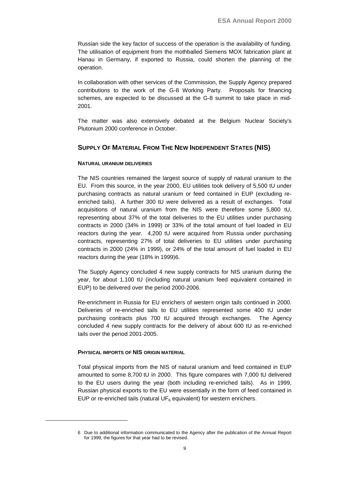<span id="page-12-0"></span>Russian side the key factor of success of the operation is the availability of funding. The utilisation of equipment from the mothballed Siemens MOX fabrication plant at Hanau in Germany, if exported to Russia, could shorten the planning of the operation.

In collaboration with other services of the Commission, the Supply Agency prepared contributions to the work of the G-8 Working Party. Proposals for financing schemes, are expected to be discussed at the G-8 summit to take place in mid-2001.

The matter was also extensively debated at the Belgium Nuclear Society's Plutonium 2000 conference in October.

## **SUPPLY OF MATERIAL FROM THE NEW INDEPENDENT STATES (NIS)**

### **NATURAL URANIUM DELIVERIES**

The NIS countries remained the largest source of supply of natural uranium to the EU. From this source, in the year 2000, EU utilities took delivery of 5,500 tU under purchasing contracts as natural uranium or feed contained in EUP (excluding reenriched tails). A further 300 tU were delivered as a result of exchanges. Total acquisitions of natural uranium from the NIS were therefore some 5,800 tU, representing about 37% of the total deliveries to the EU utilities under purchasing contracts in 2000 (34% in 1999) or 33% of the total amount of fuel loaded in EU reactors during the year. 4,200 tU were acquired from Russia under purchasing contracts, representing 27% of total deliveries to EU utilities under purchasing contracts in 2000 (24% in 1999), or 24% of the total amount of fuel loaded in EU reactors during the year (18% in 1999)6.

The Supply Agency concluded 4 new supply contracts for NIS uranium during the year, for about 1,100 tU (including natural uranium feed equivalent contained in EUP) to be delivered over the period 2000-2006.

Re-enrichment in Russia for EU enrichers of western origin tails continued in 2000. Deliveries of re-enriched tails to EU utilities represented some 400 tU under purchasing contracts plus 700 tU acquired through exchanges. The Agency concluded 4 new supply contracts for the delivery of about 600 tU as re-enriched tails over the period 2001-2005.

#### **PHYSICAL IMPORTS OF NIS ORIGIN MATERIAL**

Total physical imports from the NIS of natural uranium and feed contained in EUP amounted to some 8,700 tU in 2000. This figure compares with 7,000 tU delivered to the EU users during the year (both including re-enriched tails). As in 1999, Russian physical exports to the EU were essentially in the form of feed contained in EUP or re-enriched tails (natural UF<sub>6</sub> equivalent) for western enrichers.

<sup>6</sup> Due to additional information communicated to the Agency after the publication of the Annual Report for 1999, the figures for that year had to be revised.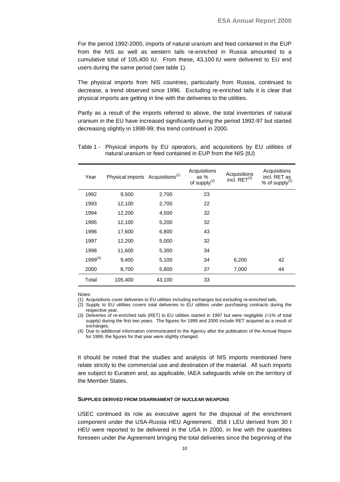For the period 1992-2000, imports of natural uranium and feed contained in the EUP from the NIS as well as western tails re-enriched in Russia amounted to a cumulative total of 105,400 tU. From these, 43,100 tU were delivered to EU end users during the same period (see table 1).

The physical imports from NIS countries, particularly from Russia, continued to decrease, a trend observed since 1996. Excluding re-enriched tails it is clear that physical imports are getting in line with the deliveries to the utilities.

Partly as a result of the imports referred to above, the total inventories of natural uranium in the EU have increased significantly during the period 1992-97 but started decreasing slightly in 1998-99; this trend continued in 2000.

| Year         | Physical imports Acquisitions <sup>(1)</sup> |        | Acquisitions<br>as %<br>of supply $(2)$ | Acquisitions<br>incl. $RET(3)$ | Acquisitions<br>incl. RET as<br>% of supply $(2)$ |
|--------------|----------------------------------------------|--------|-----------------------------------------|--------------------------------|---------------------------------------------------|
| 1992         | 9,500                                        | 2,700  | 23                                      |                                |                                                   |
| 1993         | 12,100                                       | 2,700  | 22                                      |                                |                                                   |
| 1994         | 12,200                                       | 4,500  | 32                                      |                                |                                                   |
| 1995         | 12,100                                       | 5,200  | 32                                      |                                |                                                   |
| 1996         | 17,600                                       | 6,800  | 43                                      |                                |                                                   |
| 1997         | 12,200                                       | 5,000  | 32                                      |                                |                                                   |
| 1998         | 11,600                                       | 5,300  | 34                                      |                                |                                                   |
| $1999^{(4)}$ | 9,400                                        | 5,100  | 34                                      | 6,200                          | 42                                                |
| 2000         | 8,700                                        | 5,800  | 37                                      | 7,000                          | 44                                                |
| Total        | 105,400                                      | 43,100 | 33                                      |                                |                                                   |

| Table 1 - Physical imports by EU operators, and acquisitions by EU utilities of |  |
|---------------------------------------------------------------------------------|--|
| natural uranium or feed contained in EUP from the NIS (tU)                      |  |

Notes:

(1) Acquisitions cover deliveries to EU utilities including exchanges but excluding re-enriched tails.

(2) Supply to EU utilities covers total deliveries to EU utilities under purchasing contracts during the respective year.

(3) Deliveries of re-enriched tails (RET) to EU utilities started in 1997 but were negligible (<1% of total supply) during the first two years. The figures for 1999 and 2000 include RET acquired as a result of exchanges.

(4) Due to additional information communicated to the Agency after the publication of the Annual Report for 1999, the figures for that year were slightly changed.

It should be noted that the studies and analysis of NIS imports mentioned here relate strictly to the commercial use and destination of the material. All such imports are subject to Euratom and, as applicable, IAEA safeguards while on the territory of the Member States.

#### **SUPPLIES DERIVED FROM DISARMAMENT OF NUCLEAR WEAPONS**

USEC continued its role as executive agent for the disposal of the enrichment component under the USA-Russia HEU Agreement. 858 t LEU derived from 30 t HEU were reported to be delivered in the USA in 2000, in line with the quantities foreseen under the Agreement bringing the total deliveries since the beginning of the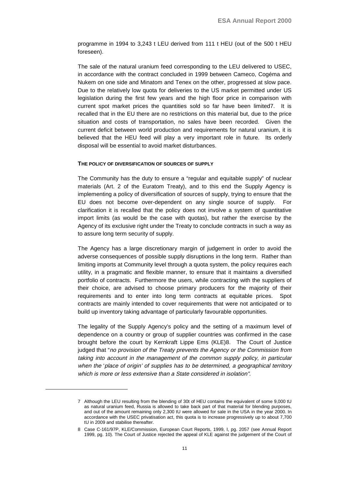programme in 1994 to 3,243 t LEU derived from 111 t HEU (out of the 500 t HEU foreseen).

The sale of the natural uranium feed corresponding to the LEU delivered to USEC, in accordance with the contract concluded in 1999 between Cameco, Cogéma and Nukem on one side and Minatom and Tenex on the other, progressed at slow pace. Due to the relatively low quota for deliveries to the US market permitted under US legislation during the first few years and the high floor price in comparison with current spot market prices the quantities sold so far have been limited7. It is recalled that in the EU there are no restrictions on this material but, due to the price situation and costs of transportation, no sales have been recorded. Given the current deficit between world production and requirements for natural uranium, it is believed that the HEU feed will play a very important role in future. Its orderly disposal will be essential to avoid market disturbances.

#### **THE POLICY OF DIVERSIFICATION OF SOURCES OF SUPPLY**

The Community has the duty to ensure a "regular and equitable supply" of nuclear materials (Art. 2 of the Euratom Treaty), and to this end the Supply Agency is implementing a policy of diversification of sources of supply, trying to ensure that the EU does not become over-dependent on any single source of supply. For clarification it is recalled that the policy does not involve a system of quantitative import limits (as would be the case with quotas), but rather the exercise by the Agency of its exclusive right under the Treaty to conclude contracts in such a way as to assure long term security of supply.

The Agency has a large discretionary margin of judgement in order to avoid the adverse consequences of possible supply disruptions in the long term. Rather than limiting imports at Community level through a quota system, the policy requires each utility, in a pragmatic and flexible manner, to ensure that it maintains a diversified portfolio of contracts. Furthermore the users, while contracting with the suppliers of their choice, are advised to choose primary producers for the majority of their requirements and to enter into long term contracts at equitable prices. Spot contracts are mainly intended to cover requirements that were not anticipated or to build up inventory taking advantage of particularly favourable opportunities.

The legality of the Supply Agency's policy and the setting of a maximum level of dependence on a country or group of supplier countries was confirmed in the case brought before the court by Kernkraft Lippe Ems (KLE)8. The Court of Justice judged that "no provision of the Treaty prevents the Agency or the Commission from taking into account in the management of the common supply policy, in particular when the 'place of origin' of supplies has to be determined, <sup>a</sup> geographical territory which is more or less extensive than a State considered in isolation".

<sup>7</sup> Although the LEU resulting from the blending of 30t of HEU contains the equivalent of some 9,000 tU as natural uranium feed, Russia is allowed to take back part of that material for blending purposes, and out of the amount remaining only 2,300 tU were allowed for sale in the USA in the year 2000. In accordance with the USEC privatisation act, this quota is to increase progressively up to about 7,700 tU in 2009 and stabilise thereafter.

<sup>8</sup> Case C-161/97P, KLE/Commission, European Court Reports, 1999, I, pg. 2057 (see Annual Report 1999, pg. 10). The Court of Justice rejected the appeal of KLE against the judgement of the Court of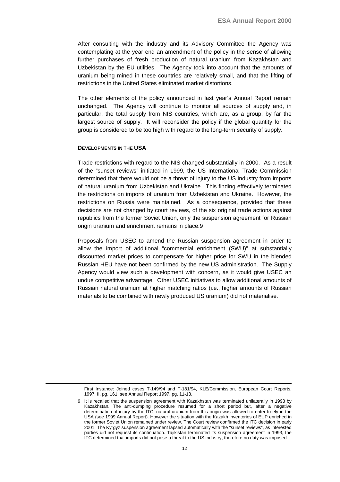After consulting with the industry and its Advisory Committee the Agency was contemplating at the year end an amendment of the policy in the sense of allowing further purchases of fresh production of natural uranium from Kazakhstan and Uzbekistan by the EU utilities. The Agency took into account that the amounts of uranium being mined in these countries are relatively small, and that the lifting of restrictions in the United States eliminated market distortions.

The other elements of the policy announced in last year's Annual Report remain unchanged. The Agency will continue to monitor all sources of supply and, in particular, the total supply from NIS countries, which are, as a group, by far the largest source of supply. It will reconsider the policy if the global quantity for the group is considered to be too high with regard to the long-term security of supply.

#### **DEVELOPMENTS IN THE USA**

Trade restrictions with regard to the NIS changed substantially in 2000. As a result of the "sunset reviews" initiated in 1999, the US International Trade Commission determined that there would not be a threat of injury to the US industry from imports of natural uranium from Uzbekistan and Ukraine. This finding effectively terminated the restrictions on imports of uranium from Uzbekistan and Ukraine. However, the restrictions on Russia were maintained. As a consequence, provided that these decisions are not changed by court reviews, of the six original trade actions against republics from the former Soviet Union, only the suspension agreement for Russian origin uranium and enrichment remains in place.9

Proposals from USEC to amend the Russian suspension agreement in order to allow the import of additional "commercial enrichment (SWU)" at substantially discounted market prices to compensate for higher price for SWU in the blended Russian HEU have not been confirmed by the new US administration. The Supply Agency would view such a development with concern, as it would give USEC an undue competitive advantage. Other USEC initiatives to allow additional amounts of Russian natural uranium at higher matching ratios (i.e., higher amounts of Russian materials to be combined with newly produced US uranium) did not materialise.

First Instance: Joined cases T-149/94 and T-181/94, KLE/Commission, European Court Reports, 1997, II, pg. 161, see Annual Report 1997, pg. 11-13.

<sup>9</sup> It is recalled that the suspension agreement with Kazakhstan was terminated unilaterally in 1998 by Kazakhstan. The anti-dumping procedure resumed for a short period but, after a negative determination of injury by the ITC, natural uranium from this origin was allowed to enter freely in the USA (see 1999 Annual Report). However the situation with the Kazakh inventories of EUP enriched in the former Soviet Union remained under review. The Court review confirmed the ITC decision in early 2001. The Kyrgyz suspension agreement lapsed automatically with the "sunset reviews", as interested parties did not request its continuation. Tajikistan terminated its suspension agreement in 1993, the ITC determined that imports did not pose a threat to the US industry, therefore no duty was imposed.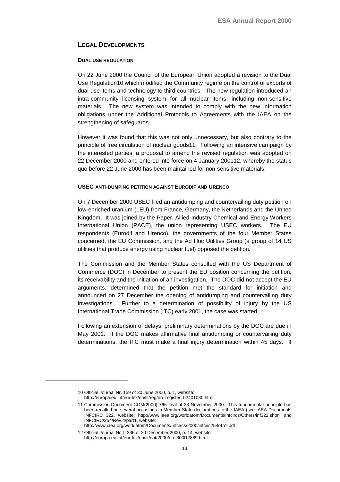## <span id="page-16-0"></span>**LEGAL DEVELOPMENTS**

#### **DUAL USE REGULATION**

On 22 June 2000 the Council of the European Union adopted a revision to the Dual Use Regulation10 which modified the Community regime on the control of exports of dual-use items and technology to third countries. The new regulation introduced an intra-community licensing system for all nuclear items, including non-sensitive materials. The new system was intended to comply with the new information obligations under the Additional Protocols to Agreements with the IAEA on the strengthening of safeguards.

However it was found that this was not only unnecessary, but also contrary to the principle of free circulation of nuclear goods11. Following an intensive campaign by the interested parties, a proposal to amend the revised regulation was adopted on 22 December 2000 and entered into force on 4 January 200112, whereby the status quo before 22 June 2000 has been maintained for non-sensitive materials.

#### **USEC ANTI-DUMPING PETITION AGAINST EURODIF AND URENCO**

On 7 December 2000 USEC filed an antidumping and countervailing duty petition on low-enriched uranium (LEU) from France, Germany, the Netherlands and the United Kingdom. It was joined by the Paper, Allied-Industry Chemical and Energy Workers International Union (PACE), the union representing USEC workers. The EU respondents (Eurodif and Urenco), the governments of the four Member States concerned, the EU Commission, and the Ad Hoc Utilities Group (a group of 14 US utilities that produce energy using nuclear fuel) opposed the petition.

The Commission and the Member States consulted with the US Department of Commerce (DOC) in December to present the EU position concerning the petition, its receivability and the initiation of an investigation. The DOC did not accept the EU arguments, determined that the petition met the standard for initiation and announced on 27 December the opening of antidumping and countervailing duty investigations. Further to a determination of possibility of injury by the US International Trade Commission (ITC) early 2001, the case was started.

Following an extension of delays, preliminary determinations by the DOC are due in May 2001. If the DOC makes affirmative final antidumping or countervailing duty determinations, the ITC must make a final injury determination within 45 days. If

<sup>10</sup> Official Journal Nr. 159 of 30 June 2000, p. 1, website: http://europa.eu.int/eur-lex/en/lif/reg/en\_register\_02401030.html

<sup>11</sup> Commission Document COM(2000) 766 final of 28 November 2000. This fundamental principle has been recalled on several occasions in Member State declarations to the IAEA (see IAEA Documents INFCIRC 322, website: http://www.iaea.org/worldatom/Documents/Infcircs/Others/inf322.shtml and INFCIRC/254/Rev.4/part1, website:

http://www.iaea.org/worldatom/Documents/Infcircs/2000/infcirc254r4p1.pdf

<sup>12</sup> Official Journal Nr. L 336 of 30 December 2000, p. 14, website: http://europa.eu.int/eur-lex/en/lif/dat/2000/en\_300R2889.html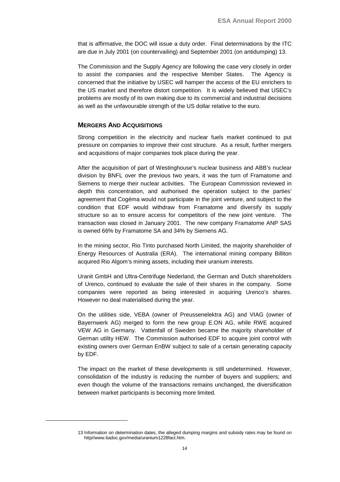that is affirmative, the DOC will issue a duty order. Final determinations by the ITC are due in July 2001 (on countervailing) and September 2001 (on antidumping) 13.

The Commission and the Supply Agency are following the case very closely in order to assist the companies and the respective Member States. The Agency is concerned that the initiative by USEC will hamper the access of the EU enrichers to the US market and therefore distort competition. It is widely believed that USEC's problems are mostly of its own making due to its commercial and industrial decisions as well as the unfavourable strength of the US dollar relative to the euro.

#### **MERGERS AND ACQUISITIONS**

Strong competition in the electricity and nuclear fuels market continued to put pressure on companies to improve their cost structure. As a result, further mergers and acquisitions of major companies took place during the year.

After the acquisition of part of Westinghouse's nuclear business and ABB's nuclear division by BNFL over the previous two years, it was the turn of Framatome and Siemens to merge their nuclear activities. The European Commission reviewed in depth this concentration, and authorised the operation subject to the parties' agreement that Cogéma would not participate in the joint venture, and subject to the condition that EDF would withdraw from Framatome and diversify its supply structure so as to ensure access for competitors of the new joint venture. The transaction was closed in January 2001. The new company Framatome ANP SAS is owned 66% by Framatome SA and 34% by Siemens AG.

In the mining sector, Rio Tinto purchased North Limited, the majority shareholder of Energy Resources of Australia (ERA). The international mining company Billiton acquired Rio Algom's mining assets, including their uranium interests.

Uranit GmbH and Ultra-Centrifuge Nederland, the German and Dutch shareholders of Urenco, continued to evaluate the sale of their shares in the company. Some companies were reported as being interested in acquiring Urenco's shares. However no deal materialised during the year.

On the utilities side, VEBA (owner of Preussenelektra AG) and VIAG (owner of Bayernwerk AG) merged to form the new group E.ON AG, while RWE acquired VEW AG in Germany. Vattenfall of Sweden became the majority shareholder of German utility HEW. The Commission authorised EDF to acquire joint control with existing owners over German EnBW subject to sale of a certain generating capacity by EDF.

The impact on the market of these developments is still undetermined. However, consolidation of the industry is reducing the number of buyers and suppliers; and even though the volume of the transactions remains unchanged, the diversification between market participants is becoming more limited.

<sup>13</sup> Information on determination dates, the alleged dumping margins and subsidy rates may be found on http//www.itadoc.gov/media/uranium1228fact.htm.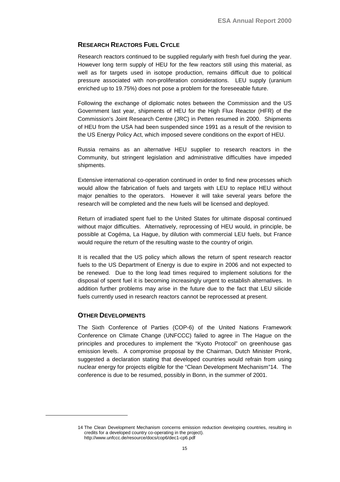## <span id="page-18-0"></span>**RESEARCH REACTORS FUEL CYCLE**

Research reactors continued to be supplied regularly with fresh fuel during the year. However long term supply of HEU for the few reactors still using this material, as well as for targets used in isotope production, remains difficult due to political pressure associated with non-proliferation considerations. LEU supply (uranium enriched up to 19.75%) does not pose a problem for the foreseeable future.

Following the exchange of diplomatic notes between the Commission and the US Government last year, shipments of HEU for the High Flux Reactor (HFR) of the Commission's Joint Research Centre (JRC) in Petten resumed in 2000. Shipments of HEU from the USA had been suspended since 1991 as a result of the revision to the US Energy Policy Act, which imposed severe conditions on the export of HEU.

Russia remains as an alternative HEU supplier to research reactors in the Community, but stringent legislation and administrative difficulties have impeded shipments.

Extensive international co-operation continued in order to find new processes which would allow the fabrication of fuels and targets with LEU to replace HEU without major penalties to the operators. However it will take several years before the research will be completed and the new fuels will be licensed and deployed.

Return of irradiated spent fuel to the United States for ultimate disposal continued without major difficulties. Alternatively, reprocessing of HEU would, in principle, be possible at Cogéma, La Hague, by dilution with commercial LEU fuels, but France would require the return of the resulting waste to the country of origin.

It is recalled that the US policy which allows the return of spent research reactor fuels to the US Department of Energy is due to expire in 2006 and not expected to be renewed. Due to the long lead times required to implement solutions for the disposal of spent fuel it is becoming increasingly urgent to establish alternatives. In addition further problems may arise in the future due to the fact that LEU silicide fuels currently used in research reactors cannot be reprocessed at present.

## **OTHER DEVELOPMENTS**

The Sixth Conference of Parties (COP-6) of the United Nations Framework Conference on Climate Change (UNFCCC) failed to agree in The Hague on the principles and procedures to implement the "Kyoto Protocol" on greenhouse gas emission levels. A compromise proposal by the Chairman, Dutch Minister Pronk, suggested a declaration stating that developed countries would refrain from using nuclear energy for projects eligible for the "Clean Development Mechanism"14. The conference is due to be resumed, possibly in Bonn, in the summer of 2001.

<sup>14</sup> The Clean Development Mechanism concerns emission reduction developing countries, resulting in credits for a developed country co-operating in the project). http://www.unfccc.de/resource/docs/cop6/dec1-cp6.pdf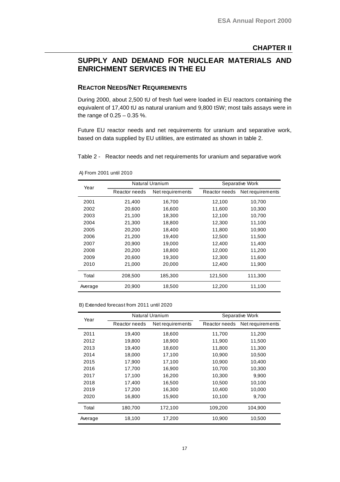## <span id="page-20-0"></span>**SUPPLY AND DEMAND FOR NUCLEAR MATERIALS AND ENRICHMENT SERVICES IN THE EU**

## **REACTOR NEEDS/NET REQUIREMENTS**

During 2000, about 2,500 tU of fresh fuel were loaded in EU reactors containing the equivalent of 17,400 tU as natural uranium and 9,800 tSW; most tails assays were in the range of 0.25 – 0.35 %.

Future EU reactor needs and net requirements for uranium and separative work, based on data supplied by EU utilities, are estimated as shown in table 2.

Table 2 - Reactor needs and net requirements for uranium and separative work

| Year    | Natural Uranium |                  |               | Separative Work  |
|---------|-----------------|------------------|---------------|------------------|
|         | Reactor needs   | Net requirements | Reactor needs | Net requirements |
| 2001    | 21,400          | 16,700           | 12,100        | 10,700           |
| 2002    | 20,600          | 16,600           | 11,600        | 10,300           |
| 2003    | 21,100          | 18,300           | 12,100        | 10,700           |
| 2004    | 21,300          | 18,800           | 12,300        | 11,100           |
| 2005    | 20,200          | 18,400           | 11,800        | 10,900           |
| 2006    | 21,200          | 19,400           | 12,500        | 11,500           |
| 2007    | 20,900          | 19,000           | 12,400        | 11,400           |
| 2008    | 20,200          | 18,800           | 12,000        | 11,200           |
| 2009    | 20,600          | 19,300           | 12,300        | 11,600           |
| 2010    | 21,000          | 20,000           | 12,400        | 11,900           |
| Total   | 208,500         | 185,300          | 121,500       | 111,300          |
| Average | 20,900          | 18,500           | 12,200        | 11,100           |

A) From 2001 until 2010

B) Extended forecast from 2011 until 2020

| Year    | Natural Uranium |                  | Separative Work |                  |
|---------|-----------------|------------------|-----------------|------------------|
|         | Reactor needs   | Net requirements | Reactor needs   | Net requirements |
| 2011    | 19,400          | 18,600           | 11,700          | 11,200           |
| 2012    | 19,800          | 18,900           | 11,900          | 11,500           |
| 2013    | 19,400          | 18,600           | 11,800          | 11,300           |
| 2014    | 18,000          | 17,100           | 10,900          | 10,500           |
| 2015    | 17,900          | 17,100           | 10,900          | 10,400           |
| 2016    | 17,700          | 16,900           | 10,700          | 10,300           |
| 2017    | 17,100          | 16,200           | 10,300          | 9,900            |
| 2018    | 17,400          | 16,500           | 10,500          | 10,100           |
| 2019    | 17,200          | 16,300           | 10,400          | 10,000           |
| 2020    | 16,800          | 15,900           | 10,100          | 9,700            |
| Total   | 180,700         | 172,100          | 109,200         | 104,900          |
| Average | 18,100          | 17,200           | 10,900          | 10,500           |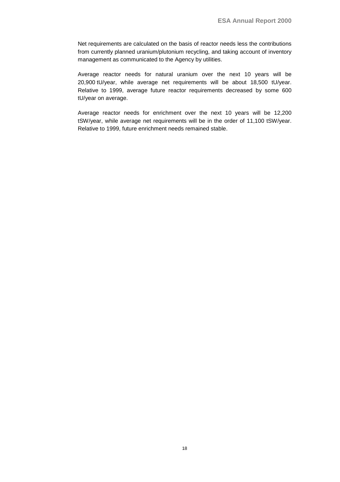Net requirements are calculated on the basis of reactor needs less the contributions from currently planned uranium/plutonium recycling, and taking account of inventory management as communicated to the Agency by utilities.

Average reactor needs for natural uranium over the next 10 years will be 20,900 tU/year, while average net requirements will be about 18,500 tU/year. Relative to 1999, average future reactor requirements decreased by some 600 tU/year on average.

Average reactor needs for enrichment over the next 10 years will be 12,200 tSW/year, while average net requirements will be in the order of 11,100 tSW/year. Relative to 1999, future enrichment needs remained stable.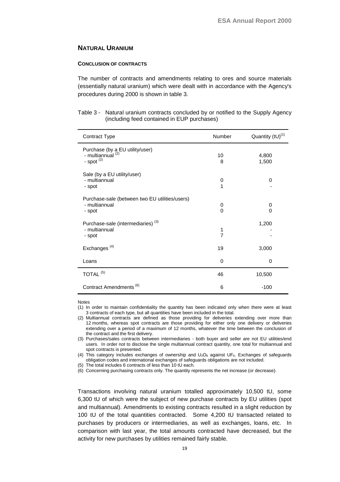## **NATURAL URANIUM**

#### **CONCLUSION OF CONTRACTS**

The number of contracts and amendments relating to ores and source materials (essentially natural uranium) which were dealt with in accordance with the Agency's procedures during 2000 is shown in table 3.

| Table 3 - Natural uranium contracts concluded by or notified to the Supply Agency |
|-----------------------------------------------------------------------------------|
| (including feed contained in EUP purchases)                                       |

| Contract Type                                                                                 | <b>Number</b>       | Quantity (tU) <sup>(1)</sup> |
|-----------------------------------------------------------------------------------------------|---------------------|------------------------------|
| Purchase (by a EU utility/user)<br>- multiannual <sup>(2)</sup><br>- spot $\overline{^{(2)}}$ | 10<br>8             | 4,800<br>1,500               |
| Sale (by a EU utility/user)<br>- multiannual<br>- spot                                        | 0<br>$\overline{1}$ | 0                            |
| Purchase-sale (between two EU utilities/users)<br>- multiannual<br>- spot                     | 0<br>$\Omega$       | 0<br>$\Omega$                |
| Purchase-sale (intermediaries) <sup>(3)</sup><br>- multiannual<br>- spot                      | 1<br>$\overline{7}$ | 1,200                        |
| Exchanges <sup>(4)</sup>                                                                      | 19                  | 3,000                        |
| Loans                                                                                         | 0                   | 0                            |
| TOTAL <sup>(5)</sup>                                                                          | 46                  | 10,500                       |
| Contract Amendments <sup>(6)</sup>                                                            | 6                   | $-100$                       |

#### Notes

÷,

(1) In order to maintain confidentiality the quantity has been indicated only when there were at least 3 contracts of each type, but all quantities have been included in the total.

(2) Multiannual contracts are defined as those providing for deliveries extending over more than 12 months, whereas spot contracts are those providing for either only one delivery or deliveries extending over a period of a maximum of 12 months, whatever the time between the conclusion of the contract and the first delivery.

(3) Purchases/sales contracts between intermediaries - both buyer and seller are not EU utilities/end users. In order not to disclose the single multiannual contract quantity, one total for multiannual and spot contracts is presented.

(4) This category includes exchanges of ownership and  $U_3O_8$  against UF<sub>6</sub>. Exchanges of safeguards obligation codes and international exchanges of safeguards obligations are not included.

(5) The total includes 6 contracts of less than 10 tU each.

(6) Concerning purchasing contracts only. The quantity represents the net increase (or decrease).

Transactions involving natural uranium totalled approximately 10,500 tU, some 6,300 tU of which were the subject of new purchase contracts by EU utilities (spot and multiannual). Amendments to existing contracts resulted in a slight reduction by 100 tU of the total quantities contracted. Some 4,200 tU transacted related to purchases by producers or intermediaries, as well as exchanges, loans, etc. In comparison with last year, the total amounts contracted have decreased, but the activity for new purchases by utilities remained fairly stable.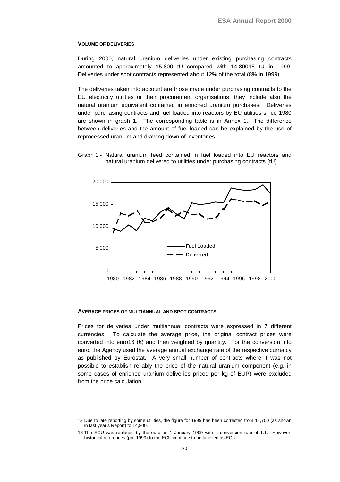#### **VOLUME OF DELIVERIES**

During 2000, natural uranium deliveries under existing purchasing contracts amounted to approximately 15,800 tU compared with 14,80015 tU in 1999. Deliveries under spot contracts represented about 12% of the total (8% in 1999).

The deliveries taken into account are those made under purchasing contracts to the EU electricity utilities or their procurement organisations; they include also the natural uranium equivalent contained in enriched uranium purchases. Deliveries under purchasing contracts and fuel loaded into reactors by EU utilities since 1980 are shown in graph 1. The corresponding table is in Annex 1. The difference between deliveries and the amount of fuel loaded can be explained by the use of reprocessed uranium and drawing down of inventories.





#### **AVERAGE PRICES OF MULTIANNUAL AND SPOT CONTRACTS**

Prices for deliveries under multiannual contracts were expressed in 7 different currencies. To calculate the average price, the original contract prices were converted into euro16  $(\epsilon)$  and then weighted by quantity. For the conversion into euro, the Agency used the average annual exchange rate of the respective currency as published by Eurostat. A very small number of contracts where it was not possible to establish reliably the price of the natural uranium component (e.g. in some cases of enriched uranium deliveries priced per kg of EUP) were excluded from the price calculation.

<sup>15</sup> Due to late reporting by some utilities, the figure for 1999 has been corrected from 14,700 (as shown in last year's Report) to 14,800.

<sup>16</sup> The ECU was replaced by the euro on 1 January 1999 with a conversion rate of 1:1. However, historical references (pre-1999) to the ECU continue to be labelled as ECU.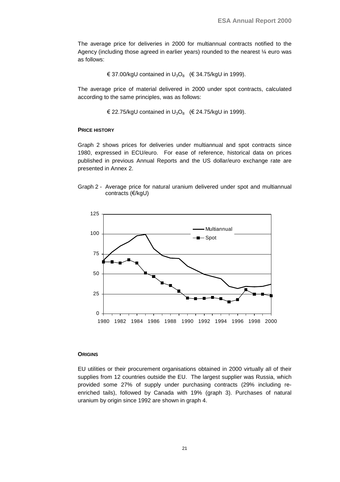The average price for deliveries in 2000 for multiannual contracts notified to the Agency (including those agreed in earlier years) rounded to the nearest  $\frac{1}{4}$  euro was as follows:

€ 37.00/kgU contained in  $U_3O_8$  (€ 34.75/kgU in 1999).

The average price of material delivered in 2000 under spot contracts, calculated according to the same principles, was as follows:

€ 22.75/kgU contained in  $U_3O_8$  (€ 24.75/kgU in 1999).

#### **PRICE HISTORY**

Graph 2 shows prices for deliveries under multiannual and spot contracts since 1980, expressed in ECU/euro. For ease of reference, historical data on prices published in previous Annual Reports and the US dollar/euro exchange rate are presented in Annex 2.

Graph 2 - Average price for natural uranium delivered under spot and multiannual contracts (€/kgU)



#### **ORIGINS**

EU utilities or their procurement organisations obtained in 2000 virtually all of their supplies from 12 countries outside the EU. The largest supplier was Russia, which provided some 27% of supply under purchasing contracts (29% including reenriched tails), followed by Canada with 19% (graph 3). Purchases of natural uranium by origin since 1992 are shown in graph 4.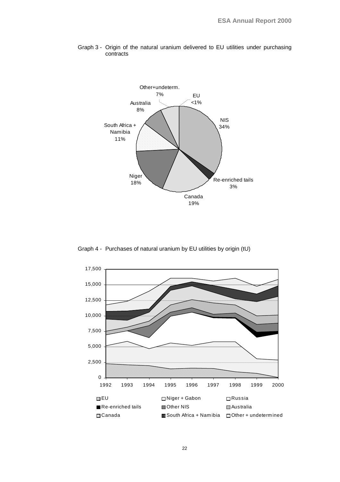

Graph 3 - Origin of the natural uranium delivered to EU utilities under purchasing contracts

Graph 4 - Purchases of natural uranium by EU utilities by origin (tU)

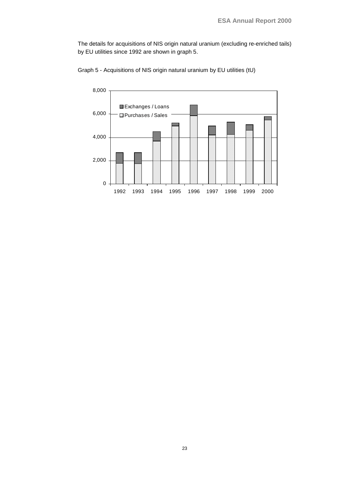The details for acquisitions of NIS origin natural uranium (excluding re-enriched tails) by EU utilities since 1992 are shown in graph 5.



Graph 5 - Acquisitions of NIS origin natural uranium by EU utilities (tU)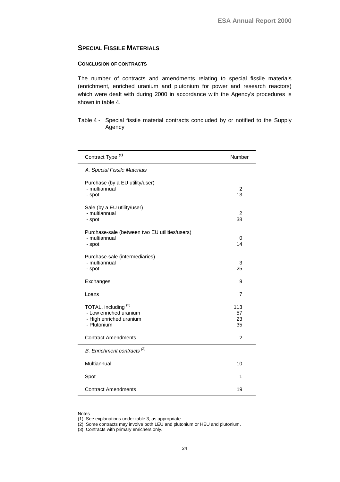## <span id="page-27-0"></span>**SPECIAL FISSILE MATERIALS**

### **CONCLUSION OF CONTRACTS**

The number of contracts and amendments relating to special fissile materials (enrichment, enriched uranium and plutonium for power and research reactors) which were dealt with during 2000 in accordance with the Agency's procedures is shown in table 4.

Table 4 - Special fissile material contracts concluded by or notified to the Supply Agency

| Contract Type <sup>(1)</sup>                                                                        | Number                |
|-----------------------------------------------------------------------------------------------------|-----------------------|
| A. Special Fissile Materials                                                                        |                       |
| Purchase (by a EU utility/user)<br>- multiannual<br>- spot                                          | 2<br>13               |
| Sale (by a EU utility/user)<br>- multiannual<br>- spot                                              | 2<br>38               |
| Purchase-sale (between two EU utilities/users)<br>- multiannual<br>- spot                           | 0<br>14               |
| Purchase-sale (intermediaries)<br>- multiannual<br>- spot                                           | 3<br>25               |
| Exchanges                                                                                           | 9                     |
| Loans                                                                                               | $\overline{7}$        |
| TOTAL, including <sup>(2)</sup><br>- Low enriched uranium<br>- High enriched uranium<br>- Plutonium | 113<br>57<br>23<br>35 |
| <b>Contract Amendments</b>                                                                          | $\overline{2}$        |
| B. Enrichment contracts <sup>(3)</sup>                                                              |                       |
| Multiannual                                                                                         | 10                    |
| Spot                                                                                                | 1                     |
| <b>Contract Amendments</b>                                                                          | 19                    |

#### Notes

(1) See explanations under table 3, as appropriate.

(2) Some contracts may involve both LEU and plutonium or HEU and plutonium.

(3) Contracts with primary enrichers only.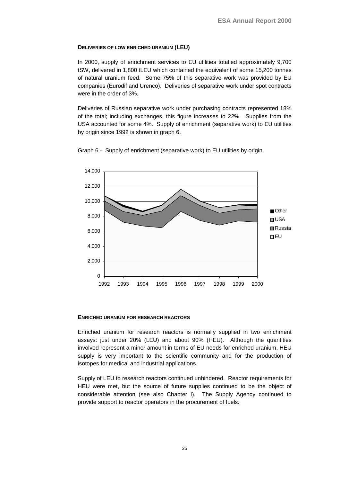## **DELIVERIES OF LOW ENRICHED URANIUM (LEU)**

In 2000, supply of enrichment services to EU utilities totalled approximately 9,700 tSW, delivered in 1,800 tLEU which contained the equivalent of some 15,200 tonnes of natural uranium feed. Some 75% of this separative work was provided by EU companies (Eurodif and Urenco). Deliveries of separative work under spot contracts were in the order of 3%.

Deliveries of Russian separative work under purchasing contracts represented 18% of the total; including exchanges, this figure increases to 22%. Supplies from the USA accounted for some 4%. Supply of enrichment (separative work) to EU utilities by origin since 1992 is shown in graph 6.



Graph 6 - Supply of enrichment (separative work) to EU utilities by origin

#### **ENRICHED URANIUM FOR RESEARCH REACTORS**

Enriched uranium for research reactors is normally supplied in two enrichment assays: just under 20% (LEU) and about 90% (HEU). Although the quantities involved represent a minor amount in terms of EU needs for enriched uranium, HEU supply is very important to the scientific community and for the production of isotopes for medical and industrial applications.

Supply of LEU to research reactors continued unhindered. Reactor requirements for HEU were met, but the source of future supplies continued to be the object of considerable attention (see also Chapter I). The Supply Agency continued to provide support to reactor operators in the procurement of fuels.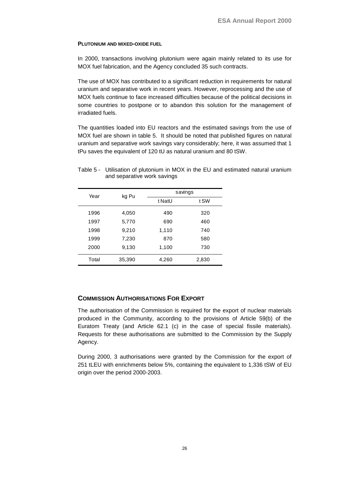### <span id="page-29-0"></span>**PLUTONIUM AND MIXED-OXIDE FUEL**

In 2000, transactions involving plutonium were again mainly related to its use for MOX fuel fabrication, and the Agency concluded 35 such contracts.

The use of MOX has contributed to a significant reduction in requirements for natural uranium and separative work in recent years. However, reprocessing and the use of MOX fuels continue to face increased difficulties because of the political decisions in some countries to postpone or to abandon this solution for the management of irradiated fuels.

The quantities loaded into EU reactors and the estimated savings from the use of MOX fuel are shown in table 5. It should be noted that published figures on natural uranium and separative work savings vary considerably; here, it was assumed that 1 tPu saves the equivalent of 120 tU as natural uranium and 80 tSW.

| Year  | kg Pu  |        | savings |
|-------|--------|--------|---------|
|       |        | t NatU | t SW    |
| 1996  | 4,050  | 490    | 320     |
| 1997  | 5,770  | 690    | 460     |
| 1998  | 9,210  | 1,110  | 740     |
| 1999  | 7,230  | 870    | 580     |
| 2000  | 9,130  | 1,100  | 730     |
| Total | 35,390 | 4,260  | 2,830   |

## Table 5 - Utilisation of plutonium in MOX in the EU and estimated natural uranium and separative work savings

## **COMMISSION AUTHORISATIONS FOR EXPORT**

The authorisation of the Commission is required for the export of nuclear materials produced in the Community, according to the provisions of Article 59(b) of the Euratom Treaty (and Article 62.1 (c) in the case of special fissile materials). Requests for these authorisations are submitted to the Commission by the Supply Agency.

During 2000, 3 authorisations were granted by the Commission for the export of 251 tLEU with enrichments below 5%, containing the equivalent to 1,336 tSW of EU origin over the period 2000-2003.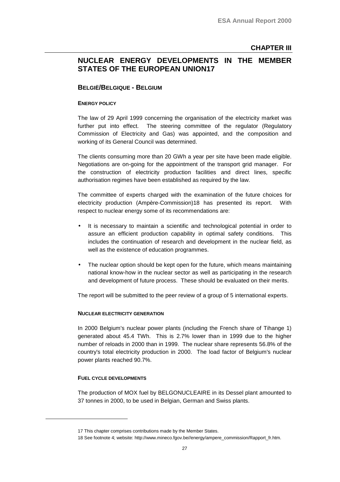## <span id="page-30-0"></span>**NUCLEAR ENERGY DEVELOPMENTS IN THE MEMBER STATES OF THE EUROPEAN UNION17**

## **BELGIË/BELGIQUE - BELGIUM**

#### **ENERGY POLICY**

The law of 29 April 1999 concerning the organisation of the electricity market was further put into effect. The steering committee of the regulator (Regulatory Commission of Electricity and Gas) was appointed, and the composition and working of its General Council was determined.

The clients consuming more than 20 GWh a year per site have been made eligible. Negotiations are on-going for the appointment of the transport grid manager. For the construction of electricity production facilities and direct lines, specific authorisation regimes have been established as required by the law.

The committee of experts charged with the examination of the future choices for electricity production (Ampère-Commission)18 has presented its report. With respect to nuclear energy some of its recommendations are:

- It is necessary to maintain a scientific and technological potential in order to assure an efficient production capability in optimal safety conditions. This includes the continuation of research and development in the nuclear field, as well as the existence of education programmes.
- The nuclear option should be kept open for the future, which means maintaining national know-how in the nuclear sector as well as participating in the research and development of future process. These should be evaluated on their merits.

The report will be submitted to the peer review of a group of 5 international experts.

#### **NUCLEAR ELECTRICITY GENERATION**

In 2000 Belgium's nuclear power plants (including the French share of Tihange 1) generated about 45.4 TWh. This is 2.7% lower than in 1999 due to the higher number of reloads in 2000 than in 1999. The nuclear share represents 56.8% of the country's total electricity production in 2000. The load factor of Belgium's nuclear power plants reached 90.7%.

#### **FUEL CYCLE DEVELOPMENTS**

The production of MOX fuel by BELGONUCLEAIRE in its Dessel plant amounted to 37 tonnes in 2000, to be used in Belgian, German and Swiss plants.

<sup>17</sup> This chapter comprises contributions made by the Member States.

<sup>18</sup> See footnote 4; website: http://www.mineco.fgov.be//energy/ampere\_commission/Rapport\_fr.htm.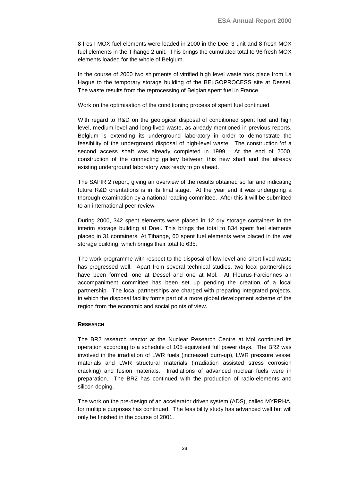8 fresh MOX fuel elements were loaded in 2000 in the Doel 3 unit and 8 fresh MOX fuel elements in the Tihange 2 unit. This brings the cumulated total to 96 fresh MOX elements loaded for the whole of Belgium.

In the course of 2000 two shipments of vitrified high level waste took place from La Hague to the temporary storage building of the BELGOPROCESS site at Dessel. The waste results from the reprocessing of Belgian spent fuel in France.

Work on the optimisation of the conditioning process of spent fuel continued.

With regard to R&D on the geological disposal of conditioned spent fuel and high level, medium level and long-lived waste, as already mentioned in previous reports, Belgium is extending its underground laboratory in order to demonstrate the feasibility of the underground disposal of high-level waste. The construction 'of a second access shaft was already completed in 1999. At the end of 2000, construction of the connecting gallery between this new shaft and the already existing underground laboratory was ready to go ahead.

The SAFIR 2 report, giving an overview of the results obtained so far and indicating future R&D orientations is in its final stage. At the year end it was undergoing a thorough examination by a national reading committee. After this it will be submitted to an international peer review.

During 2000, 342 spent elements were placed in 12 dry storage containers in the interim storage building at Doel. This brings the total to 834 spent fuel elements placed in 31 containers. At Tihange, 60 spent fuel elements were placed in the wet storage building, which brings their total to 635.

The work programme with respect to the disposal of low-level and short-lived waste has progressed well. Apart from several technical studies, two local partnerships have been formed, one at Dessel and one at Mol. At Fleurus-Farciennes an accompaniment committee has been set up pending the creation of a local partnership. The local partnerships are charged with preparing integrated projects, in which the disposal facility forms part of a more global development scheme of the region from the economic and social points of view.

#### **RESEARCH**

The BR2 research reactor at the Nuclear Research Centre at Mol continued its operation according to a schedule of 105 equivalent full power days. The BR2 was involved in the irradiation of LWR fuels (increased burn-up), LWR pressure vessel materials and LWR structural materials (irradiation assisted stress corrosion cracking) and fusion materials. Irradiations of advanced nuclear fuels were in preparation. The BR2 has continued with the production of radio-elements and silicon doping.

The work on the pre-design of an accelerator driven system (ADS), called MYRRHA, for multiple purposes has continued. The feasibility study has advanced well but will only be finished in the course of 2001.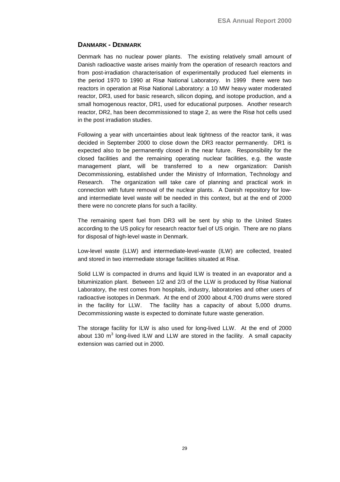## <span id="page-32-0"></span>**DANMARK - DENMARK**

Denmark has no nuclear power plants. The existing relatively small amount of Danish radioactive waste arises mainly from the operation of research reactors and from post-irradiation characterisation of experimentally produced fuel elements in the period 1970 to 1990 at Risø National Laboratory. In 1999 there were two reactors in operation at Risø National Laboratory: a 10 MW heavy water moderated reactor, DR3, used for basic research, silicon doping, and isotope production, and a small homogenous reactor, DR1, used for educational purposes. Another research reactor, DR2, has been decommissioned to stage 2, as were the Risø hot cells used in the post irradiation studies.

Following a year with uncertainties about leak tightness of the reactor tank, it was decided in September 2000 to close down the DR3 reactor permanently. DR1 is expected also to be permanently closed in the near future. Responsibility for the closed facilities and the remaining operating nuclear facilities, e.g. the waste management plant, will be transferred to a new organization: Danish Decommissioning, established under the Ministry of Information, Technology and Research. The organization will take care of planning and practical work in connection with future removal of the nuclear plants. A Danish repository for lowand intermediate level waste will be needed in this context, but at the end of 2000 there were no concrete plans for such a facility.

The remaining spent fuel from DR3 will be sent by ship to the United States according to the US policy for research reactor fuel of US origin. There are no plans for disposal of high-level waste in Denmark.

Low-level waste (LLW) and intermediate-level-waste (ILW) are collected, treated and stored in two intermediate storage facilities situated at Risø.

Solid LLW is compacted in drums and liquid ILW is treated in an evaporator and a bituminization plant. Between 1/2 and 2/3 of the LLW is produced by Risø National Laboratory, the rest comes from hospitals, industry, laboratories and other users of radioactive isotopes in Denmark. At the end of 2000 about 4,700 drums were stored in the facility for LLW. The facility has a capacity of about 5,000 drums. Decommissioning waste is expected to dominate future waste generation.

The storage facility for ILW is also used for long-lived LLW. At the end of 2000 about 130  $\text{m}^3$  long-lived ILW and LLW are stored in the facility. A small capacity extension was carried out in 2000.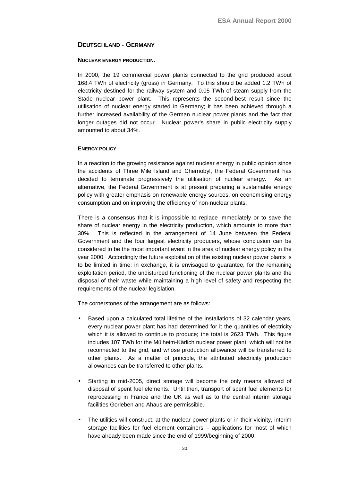## <span id="page-33-0"></span>**DEUTSCHLAND - GERMANY**

### **NUCLEAR ENERGY PRODUCTION.**

In 2000, the 19 commercial power plants connected to the grid produced about 168.4 TWh of electricity (gross) in Germany. To this should be added 1.2 TWh of electricity destined for the railway system and 0.05 TWh of steam supply from the Stade nuclear power plant. This represents the second-best result since the utilisation of nuclear energy started in Germany; it has been achieved through a further increased availability of the German nuclear power plants and the fact that longer outages did not occur. Nuclear power's share in public electricity supply amounted to about 34%.

## **ENERGY POLICY**

In a reaction to the growing resistance against nuclear energy in public opinion since the accidents of Three Mile Island and Chernobyl, the Federal Government has decided to terminate progressively the utilisation of nuclear energy. As an alternative, the Federal Government is at present preparing a sustainable energy policy with greater emphasis on renewable energy sources, on economising energy consumption and on improving the efficiency of non-nuclear plants.

There is a consensus that it is impossible to replace immediately or to save the share of nuclear energy in the electricity production, which amounts to more than 30%. This is reflected in the arrangement of 14 June between the Federal Government and the four largest electricity producers, whose conclusion can be considered to be the most important event in the area of nuclear energy policy in the year 2000. Accordingly the future exploitation of the existing nuclear power plants is to be limited in time; in exchange, it is envisaged to guarantee, for the remaining exploitation period, the undisturbed functioning of the nuclear power plants and the disposal of their waste while maintaining a high level of safety and respecting the requirements of the nuclear legislation.

The cornerstones of the arrangement are as follows:

- Based upon a calculated total lifetime of the installations of 32 calendar years, every nuclear power plant has had determined for it the quantities of electricity which it is allowed to continue to produce; the total is 2623 TWh. This figure includes 107 TWh for the Mülheim-Kärlich nuclear power plant, which will not be reconnected to the grid, and whose production allowance will be transferred to other plants. As a matter of principle, the attributed electricity production allowances can be transferred to other plants.
- Starting in mid-2005, direct storage will become the only means allowed of disposal of spent fuel elements. Until then, transport of spent fuel elements for reprocessing in France and the UK as well as to the central interim storage facilities Gorleben and Ahaus are permissible.
- The utilities will construct, at the nuclear power plants or in their vicinity, interim storage facilities for fuel element containers – applications for most of which have already been made since the end of 1999/beginning of 2000.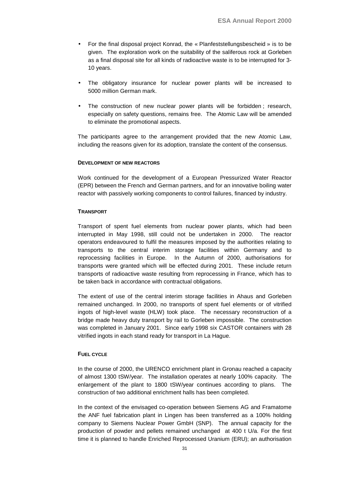- For the final disposal project Konrad, the « Planfeststellungsbescheid » is to be given. The exploration work on the suitability of the saliferous rock at Gorleben as a final disposal site for all kinds of radioactive waste is to be interrupted for 3- 10 years.
- The obligatory insurance for nuclear power plants will be increased to 5000 million German mark.
- The construction of new nuclear power plants will be forbidden ; research, especially on safety questions, remains free. The Atomic Law will be amended to eliminate the promotional aspects.

The participants agree to the arrangement provided that the new Atomic Law, including the reasons given for its adoption, translate the content of the consensus.

#### **DEVELOPMENT OF NEW REACTORS**

Work continued for the development of a European Pressurized Water Reactor (EPR) between the French and German partners, and for an innovative boiling water reactor with passively working components to control failures, financed by industry.

#### **TRANSPORT**

Transport of spent fuel elements from nuclear power plants, which had been interrupted in May 1998, still could not be undertaken in 2000. The reactor operators endeavoured to fulfil the measures imposed by the authorities relating to transports to the central interim storage facilities within Germany and to reprocessing facilities in Europe. In the Autumn of 2000, authorisations for transports were granted which will be effected during 2001. These include return transports of radioactive waste resulting from reprocessing in France, which has to be taken back in accordance with contractual obligations.

The extent of use of the central interim storage facilities in Ahaus and Gorleben remained unchanged. In 2000, no transports of spent fuel elements or of vitrified ingots of high-level waste (HLW) took place. The necessary reconstruction of a bridge made heavy duty transport by rail to Gorleben impossible. The construction was completed in January 2001. Since early 1998 six CASTOR containers with 28 vitrified ingots in each stand ready for transport in La Hague.

### **FUEL CYCLE**

In the course of 2000, the URENCO enrichment plant in Gronau reached a capacity of almost 1300 tSW/year. The installation operates at nearly 100% capacity. The enlargement of the plant to 1800 tSW/year continues according to plans. The construction of two additional enrichment halls has been completed.

In the context of the envisaged co-operation between Siemens AG and Framatome the ANF fuel fabrication plant in Lingen has been transferred as a 100% holding company to Siemens Nuclear Power GmbH (SNP). The annual capacity for the production of powder and pellets remained unchanged at 400 t U/a. For the first time it is planned to handle Enriched Reprocessed Uranium (ERU); an authorisation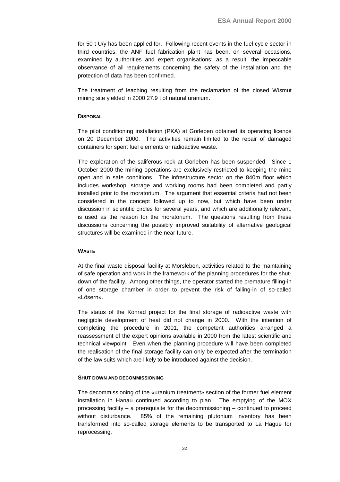for 50 t U/y has been applied for. Following recent events in the fuel cycle sector in third countries, the ANF fuel fabrication plant has been, on several occasions, examined by authorities and expert organisations; as a result, the impeccable observance of all requirements concerning the safety of the installation and the protection of data has been confirmed.

The treatment of leaching resulting from the reclamation of the closed Wismut mining site yielded in 2000 27.9 t of natural uranium.

## **DISPOSAL**

The pilot conditioning installation (PKA) at Gorleben obtained its operating licence on 20 December 2000. The activities remain limited to the repair of damaged containers for spent fuel elements or radioactive waste.

The exploration of the saliferous rock at Gorleben has been suspended. Since 1 October 2000 the mining operations are exclusively restricted to keeping the mine open and in safe conditions. The infrastructure sector on the 840m floor which includes workshop, storage and working rooms had been completed and partly installed prior to the moratorium. The argument that essential criteria had not been considered in the concept followed up to now, but which have been under discussion in scientific circles for several years, and which are additionally relevant, is used as the reason for the moratorium. The questions resulting from these discussions concerning the possibly improved suitability of alternative geological structures will be examined in the near future.

#### **WASTE**

At the final waste disposal facility at Morsleben, activities related to the maintaining of safe operation and work in the framework of the planning procedures for the shutdown of the facility. Among other things, the operator started the premature filling-in of one storage chamber in order to prevent the risk of falling-in of so-called «Lösern».

The status of the Konrad project for the final storage of radioactive waste with negligible development of heat did not change in 2000. With the intention of completing the procedure in 2001, the competent authorities arranged a reassessment of the expert opinions available in 2000 from the latest scientific and technical viewpoint. Even when the planning procedure will have been completed the realisation of the final storage facility can only be expected after the termination of the law suits which are likely to be introduced against the decision.

#### **SHUT DOWN AND DECOMMISSIONING**

The decommissioning of the «uranium treatment» section of the former fuel element installation in Hanau continued according to plan. The emptying of the MOX processing facility – a prerequisite for the decommissioning – continued to proceed without disturbance. 85% of the remaining plutonium inventory has been transformed into so-called storage elements to be transported to La Hague for reprocessing.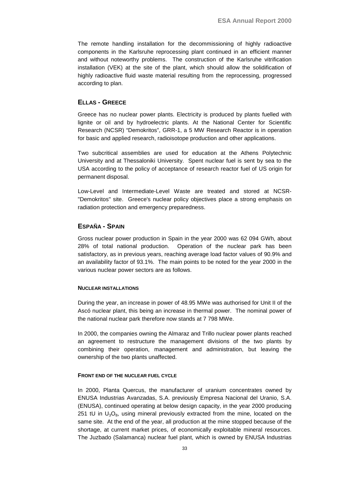<span id="page-36-0"></span>The remote handling installation for the decommissioning of highly radioactive components in the Karlsruhe reprocessing plant continued in an efficient manner and without noteworthy problems. The construction of the Karlsruhe vitrification installation (VEK) at the site of the plant, which should allow the solidification of highly radioactive fluid waste material resulting from the reprocessing, progressed according to plan.

## **ELLAS - GREECE**

Greece has no nuclear power plants. Electricity is produced by plants fuelled with lignite or oil and by hydroelectric plants. At the National Center for Scientific Research (NCSR) "Demokritos", GRR-1, a 5 MW Research Reactor is in operation for basic and applied research, radioisotope production and other applications.

Two subcritical assemblies are used for education at the Athens Polytechnic University and at Thessaloniki University. Spent nuclear fuel is sent by sea to the USA according to the policy of acceptance of research reactor fuel of US origin for permanent disposal.

Low-Level and Intermediate-Level Waste are treated and stored at NCSR- "Demokritos" site. Greece's nuclear policy objectives place a strong emphasis on radiation protection and emergency preparedness.

## **ESPAÑA - SPAIN**

Gross nuclear power production in Spain in the year 2000 was 62 094 GWh, about 28% of total national production. Operation of the nuclear park has been satisfactory, as in previous years, reaching average load factor values of 90.9% and an availability factor of 93.1%. The main points to be noted for the year 2000 in the various nuclear power sectors are as follows.

#### **NUCLEAR INSTALLATIONS**

During the year, an increase in power of 48.95 MWe was authorised for Unit II of the Ascó nuclear plant, this being an increase in thermal power. The nominal power of the national nuclear park therefore now stands at 7 798 MWe.

In 2000, the companies owning the Almaraz and Trillo nuclear power plants reached an agreement to restructure the management divisions of the two plants by combining their operation, management and administration, but leaving the ownership of the two plants unaffected.

#### **FRONT END OF THE NUCLEAR FUEL CYCLE**

In 2000, Planta Quercus, the manufacturer of uranium concentrates owned by ENUSA Industrias Avanzadas, S.A. previously Empresa Nacional del Uranio, S.A. (ENUSA), continued operating at below design capacity, in the year 2000 producing 251 tU in  $U_3O_8$ , using mineral previously extracted from the mine, located on the same site. At the end of the year, all production at the mine stopped because of the shortage, at current market prices, of economically exploitable mineral resources. The Juzbado (Salamanca) nuclear fuel plant, which is owned by ENUSA Industrias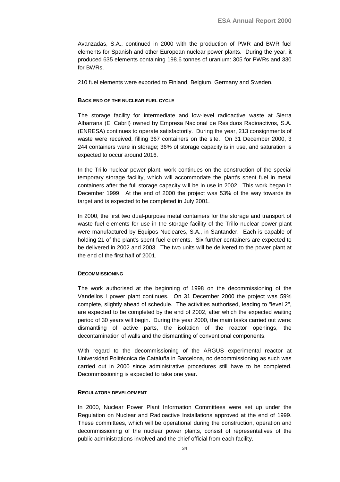Avanzadas, S.A., continued in 2000 with the production of PWR and BWR fuel elements for Spanish and other European nuclear power plants. During the year, it produced 635 elements containing 198.6 tonnes of uranium: 305 for PWRs and 330 for BWRs.

210 fuel elements were exported to Finland, Belgium, Germany and Sweden.

#### **BACK END OF THE NUCLEAR FUEL CYCLE**

The storage facility for intermediate and low-level radioactive waste at Sierra Albarrana (El Cabril) owned by Empresa Nacional de Residuos Radioactivos, S.A. (ENRESA) continues to operate satisfactorily. During the year, 213 consignments of waste were received, filling 367 containers on the site. On 31 December 2000, 3 244 containers were in storage; 36% of storage capacity is in use, and saturation is expected to occur around 2016.

In the Trillo nuclear power plant, work continues on the construction of the special temporary storage facility, which will accommodate the plant's spent fuel in metal containers after the full storage capacity will be in use in 2002. This work began in December 1999. At the end of 2000 the project was 53% of the way towards its target and is expected to be completed in July 2001.

In 2000, the first two dual-purpose metal containers for the storage and transport of waste fuel elements for use in the storage facility of the Trillo nuclear power plant were manufactured by Equipos Nucleares, S.A., in Santander. Each is capable of holding 21 of the plant's spent fuel elements. Six further containers are expected to be delivered in 2002 and 2003. The two units will be delivered to the power plant at the end of the first half of 2001.

#### **DECOMMISSIONING**

The work authorised at the beginning of 1998 on the decommissioning of the Vandellos I power plant continues. On 31 December 2000 the project was 59% complete, slightly ahead of schedule. The activities authorised, leading to "level 2", are expected to be completed by the end of 2002, after which the expected waiting period of 30 years will begin. During the year 2000, the main tasks carried out were: dismantling of active parts, the isolation of the reactor openings, the decontamination of walls and the dismantling of conventional components.

With regard to the decommissioning of the ARGUS experimental reactor at Universidad Politécnica de Cataluña in Barcelona, no decommissioning as such was carried out in 2000 since administrative procedures still have to be completed. Decommissioning is expected to take one year.

#### **REGULATORY DEVELOPMENT**

In 2000, Nuclear Power Plant Information Committees were set up under the Regulation on Nuclear and Radioactive Installations approved at the end of 1999. These committees, which will be operational during the construction, operation and decommissioning of the nuclear power plants, consist of representatives of the public administrations involved and the chief official from each facility.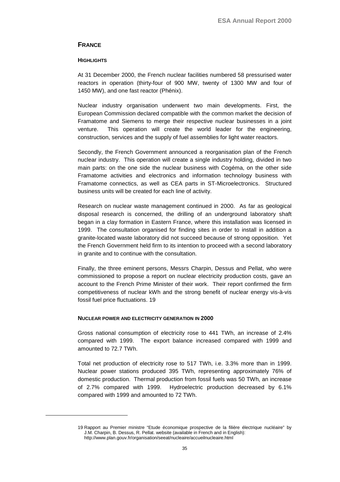## <span id="page-38-0"></span>**FRANCE**

#### **HIGHLIGHTS**

At 31 December 2000, the French nuclear facilities numbered 58 pressurised water reactors in operation (thirty-four of 900 MW, twenty of 1300 MW and four of 1450 MW), and one fast reactor (Phénix).

Nuclear industry organisation underwent two main developments. First, the European Commission declared compatible with the common market the decision of Framatome and Siemens to merge their respective nuclear businesses in a joint venture. This operation will create the world leader for the engineering, construction, services and the supply of fuel assemblies for light water reactors.

Secondly, the French Government announced a reorganisation plan of the French nuclear industry. This operation will create a single industry holding, divided in two main parts: on the one side the nuclear business with Cogéma, on the other side Framatome activities and electronics and information technology business with Framatome connectics, as well as CEA parts in ST-Microelectronics. Structured business units will be created for each line of activity.

Research on nuclear waste management continued in 2000. As far as geological disposal research is concerned, the drilling of an underground laboratory shaft began in a clay formation in Eastern France, where this installation was licensed in 1999. The consultation organised for finding sites in order to install in addition a granite-located waste laboratory did not succeed because of strong opposition. Yet the French Government held firm to its intention to proceed with a second laboratory in granite and to continue with the consultation.

Finally, the three eminent persons, Messrs Charpin, Dessus and Pellat, who were commissioned to propose a report on nuclear electricity production costs, gave an account to the French Prime Minister of their work. Their report confirmed the firm competitiveness of nuclear kWh and the strong benefit of nuclear energy vis-à-vis fossil fuel price fluctuations. 19

#### **NUCLEAR POWER AND ELECTRICITY GENERATION IN 2000**

Gross national consumption of electricity rose to 441 TWh, an increase of 2.4% compared with 1999. The export balance increased compared with 1999 and amounted to 72.7 TWh.

Total net production of electricity rose to 517 TWh, i.e. 3.3% more than in 1999. Nuclear power stations produced 395 TWh, representing approximately 76% of domestic production. Thermal production from fossil fuels was 50 TWh, an increase of 2.7% compared with 1999. Hydroelectric production decreased by 6.1% compared with 1999 and amounted to 72 TWh.

<sup>19</sup> Rapport au Premier ministre "Etude économique prospective de la filière électrique nucléaire" by J.M. Charpin, B. Dessus, R. Pellat. website (available in French and in English): http://www.plan.gouv.fr/organisation/seeat/nucleaire/accueilnucleaire.html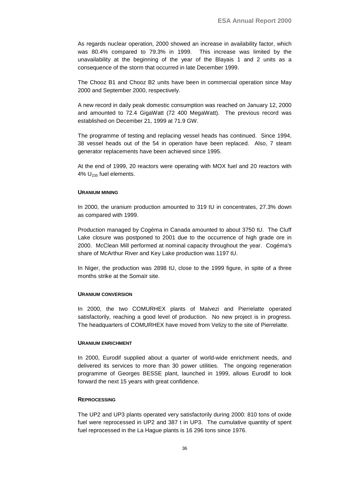As regards nuclear operation, 2000 showed an increase in availability factor, which was 80.4% compared to 79.3% in 1999. This increase was limited by the unavailability at the beginning of the year of the Blayais 1 and 2 units as a consequence of the storm that occurred in late December 1999.

The Chooz B1 and Chooz B2 units have been in commercial operation since May 2000 and September 2000, respectively.

A new record in daily peak domestic consumption was reached on January 12, 2000 and amounted to 72.4 GigaWatt (72 400 MegaWatt). The previous record was established on December 21, 1999 at 71.9 GW.

The programme of testing and replacing vessel heads has continued. Since 1994, 38 vessel heads out of the 54 in operation have been replaced. Also, 7 steam generator replacements have been achieved since 1995.

At the end of 1999, 20 reactors were operating with MOX fuel and 20 reactors with 4%  $U_{235}$  fuel elements.

#### **URANIUM MINING**

In 2000, the uranium production amounted to 319 tU in concentrates, 27.3% down as compared with 1999.

Production managed by Cogéma in Canada amounted to about 3750 tU. The Cluff Lake closure was postponed to 2001 due to the occurrence of high grade ore in 2000. McClean Mill performed at nominal capacity throughout the year. Cogéma's share of McArthur River and Key Lake production was 1197 tU.

In Niger, the production was 2898 tU, close to the 1999 figure, in spite of a three months strike at the Somaïr site.

#### **URANIUM CONVERSION**

In 2000, the two COMURHEX plants of Malvezi and Pierrelatte operated satisfactorily, reaching a good level of production. No new project is in progress. The headquarters of COMURHEX have moved from Velizy to the site of Pierrelatte.

#### **URANIUM ENRICHMENT**

In 2000, Eurodif supplied about a quarter of world-wide enrichment needs, and delivered its services to more than 30 power utilities. The ongoing regeneration programme of Georges BESSE plant, launched in 1999, allows Eurodif to look forward the next 15 years with great confidence.

#### **REPROCESSING**

The UP2 and UP3 plants operated very satisfactorily during 2000: 810 tons of oxide fuel were reprocessed in UP2 and 387 t in UP3. The cumulative quantity of spent fuel reprocessed in the La Hague plants is 16 296 tons since 1976.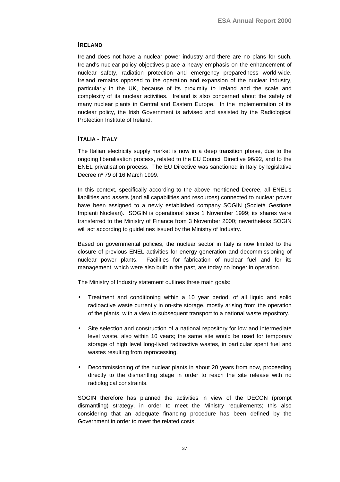## <span id="page-40-0"></span>**IRELAND**

Ireland does not have a nuclear power industry and there are no plans for such. Ireland's nuclear policy objectives place a heavy emphasis on the enhancement of nuclear safety, radiation protection and emergency preparedness world-wide. Ireland remains opposed to the operation and expansion of the nuclear industry, particularly in the UK, because of its proximity to Ireland and the scale and complexity of its nuclear activities. Ireland is also concerned about the safety of many nuclear plants in Central and Eastern Europe. In the implementation of its nuclear policy, the Irish Government is advised and assisted by the Radiological Protection Institute of Ireland.

### **ITALIA - ITALY**

The Italian electricity supply market is now in a deep transition phase, due to the ongoing liberalisation process, related to the EU Council Directive 96/92, and to the ENEL privatisation process. The EU Directive was sanctioned in Italy by legislative Decree nº 79 of 16 March 1999.

In this context, specifically according to the above mentioned Decree, all ENEL's liabilities and assets (and all capabilities and resources) connected to nuclear power have been assigned to a newly established company SOGIN (Società Gestione Impianti Nucleari). SOGIN is operational since 1 November 1999; its shares were transferred to the Ministry of Finance from 3 November 2000; nevertheless SOGIN will act according to guidelines issued by the Ministry of Industry.

Based on governmental policies, the nuclear sector in Italy is now limited to the closure of previous ENEL activities for energy generation and decommissioning of nuclear power plants. Facilities for fabrication of nuclear fuel and for its management, which were also built in the past, are today no longer in operation.

The Ministry of Industry statement outlines three main goals:

- Treatment and conditioning within a 10 year period, of all liquid and solid radioactive waste currently in on-site storage, mostly arising from the operation of the plants, with a view to subsequent transport to a national waste repository.
- Site selection and construction of a national repository for low and intermediate level waste, also within 10 years; the same site would be used for temporary storage of high level long-lived radioactive wastes, in particular spent fuel and wastes resulting from reprocessing.
- Decommissioning of the nuclear plants in about 20 years from now, proceeding directly to the dismantling stage in order to reach the site release with no radiological constraints.

SOGIN therefore has planned the activities in view of the DECON (prompt dismantling) strategy, in order to meet the Ministry requirements; this also considering that an adequate financing procedure has been defined by the Government in order to meet the related costs.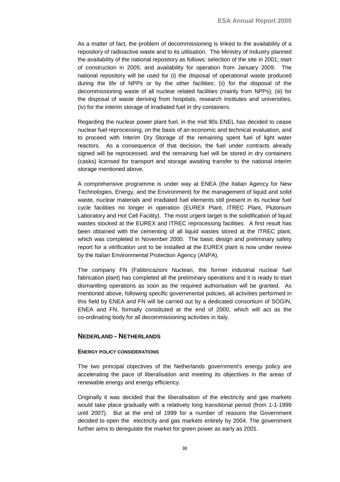<span id="page-41-0"></span>As a matter of fact, the problem of decommissioning is linked to the availability of a repository of radioactive waste and to its utilisation. The Ministry of Industry planned the availability of the national repository as follows: selection of the site in 2001; start of construction in 2005; and availability for operation from January 2009. The national repository will be used for (i) the disposal of operational waste produced during the life of NPPs or by the other facilities; (ii) for the disposal of the decommissioning waste of all nuclear related facilities (mainly from NPPs); (iii) for the disposal of waste deriving from hospitals, research institutes and universities; (iv) for the interim storage of irradiated fuel in dry containers.

Regarding the nuclear power plant fuel, in the mid 90s ENEL has decided to cease nuclear fuel reprocessing, on the basis of an economic and technical evaluation, and to proceed with Interim Dry Storage of the remaining spent fuel of light water reactors. As a consequence of that decision, the fuel under contracts already signed will be reprocessed, and the remaining fuel will be stored in dry containers (casks) licensed for transport and storage awaiting transfer to the national interim storage mentioned above.

A comprehensive programme is under way at ENEA (the Italian Agency for New Technologies, Energy, and the Environment) for the management of liquid and solid waste, nuclear materials and irradiated fuel elements still present in its nuclear fuel cycle facilities no longer in operation (EUREX Plant, ITREC Plant, Plutonium Laboratory and Hot Cell Facility). The most urgent target is the solidification of liquid wastes stocked at the EUREX and ITREC reprocessing facilities. A first result has been obtained with the cementing of all liquid wastes stored at the ITREC plant, which was completed in November 2000. The basic design and preliminary safety report for a vitrification unit to be installed at the EUREX plant is now under review by the Italian Environmental Protection Agency (ANPA).

The company FN (Fabbricazioni Nucleari, the former industrial nuclear fuel fabrication plant) has completed all the preliminary operations and it is ready to start dismantling operations as soon as the required authorisation will be granted. As mentioned above, following specific governmental policies, all activities performed in this field by ENEA and FN will be carried out by a dedicated consortium of SOGIN, ENEA and FN, formally constituted at the end of 2000, which will act as the co-ordinating body for all decommissioning activities in Italy.

### **NEDERLAND - NETHERLANDS**

#### **ENERGY POLICY CONSIDERATIONS**

The two principal objectives of the Netherlands government's energy policy are accelerating the pace of liberalisation and meeting its objectives in the areas of renewable energy and energy efficiency.

Originally it was decided that the liberalisation of the electricity and gas markets would take place gradually with a relatively long transitional period (from 1-1-1999 until 2007). But at the end of 1999 for a number of reasons the Government decided to open the electricity and gas markets entirely by 2004. The government further aims to deregulate the market for green power as early as 2001.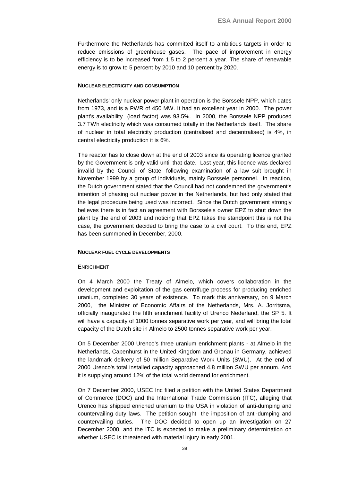Furthermore the Netherlands has committed itself to ambitious targets in order to reduce emissions of greenhouse gases. The pace of improvement in energy efficiency is to be increased from 1.5 to 2 percent a year. The share of renewable energy is to grow to 5 percent by 2010 and 10 percent by 2020.

#### **NUCLEAR ELECTRICITY AND CONSUMPTION**

Netherlands' only nuclear power plant in operation is the Borssele NPP, which dates from 1973, and is a PWR of 450 MW. It had an excellent year in 2000. The power plant's availability (load factor) was 93.5%. In 2000, the Borssele NPP produced 3.7 TWh electricity which was consumed totally in the Netherlands itself. The share of nuclear in total electricity production (centralised and decentralised) is 4%, in central electricity production it is 6%.

The reactor has to close down at the end of 2003 since its operating licence granted by the Government is only valid until that date. Last year, this licence was declared invalid by the Council of State, following examination of a law suit brought in November 1999 by a group of individuals, mainly Borssele personnel. In reaction, the Dutch government stated that the Council had not condemned the government's intention of phasing out nuclear power in the Netherlands, but had only stated that the legal procedure being used was incorrect. Since the Dutch government strongly believes there is in fact an agreement with Borssele's owner EPZ to shut down the plant by the end of 2003 and noticing that EPZ takes the standpoint this is not the case, the government decided to bring the case to a civil court. To this end, EPZ has been summoned in December, 2000.

#### **NUCLEAR FUEL CYCLE DEVELOPMENTS**

#### ENRICHMENT

On 4 March 2000 the Treaty of Almelo, which covers collaboration in the development and exploitation of the gas centrifuge process for producing enriched uranium, completed 30 years of existence. To mark this anniversary, on 9 March 2000, the Minister of Economic Affairs of the Netherlands, Mrs. A. Jorritsma, officially inaugurated the fifth enrichment facility of Urenco Nederland, the SP 5. It will have a capacity of 1000 tonnes separative work per year, and will bring the total capacity of the Dutch site in Almelo to 2500 tonnes separative work per year.

On 5 December 2000 Urenco's three uranium enrichment plants - at Almelo in the Netherlands, Capenhurst in the United Kingdom and Gronau in Germany, achieved the landmark delivery of 50 million Separative Work Units (SWU). At the end of 2000 Urenco's total installed capacity approached 4.8 million SWU per annum. And it is supplying around 12% of the total world demand for enrichment.

On 7 December 2000, USEC Inc filed a petition with the United States Department of Commerce (DOC) and the International Trade Commission (ITC), alleging that Urenco has shipped enriched uranium to the USA in violation of anti-dumping and countervailing duty laws. The petition sought the imposition of anti-dumping and countervailing duties. The DOC decided to open up an investigation on 27 December 2000, and the ITC is expected to make a preliminary determination on whether USEC is threatened with material injury in early 2001.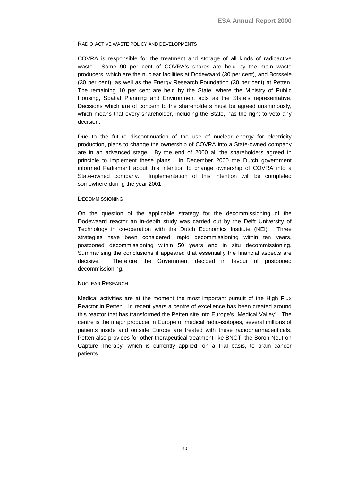#### RADIO-ACTIVE WASTE POLICY AND DEVELOPMENTS

COVRA is responsible for the treatment and storage of all kinds of radioactive waste. Some 90 per cent of COVRA's shares are held by the main waste producers, which are the nuclear facilities at Dodewaard (30 per cent), and Borssele (30 per cent), as well as the Energy Research Foundation (30 per cent) at Petten. The remaining 10 per cent are held by the State, where the Ministry of Public Housing, Spatial Planning and Environment acts as the State's representative. Decisions which are of concern to the shareholders must be agreed unanimously, which means that every shareholder, including the State, has the right to veto any decision.

Due to the future discontinuation of the use of nuclear energy for electricity production, plans to change the ownership of COVRA into a State-owned company are in an advanced stage. By the end of 2000 all the shareholders agreed in principle to implement these plans. In December 2000 the Dutch government informed Parliament about this intention to change ownership of COVRA into a State-owned company. Implementation of this intention will be completed somewhere during the year 2001.

#### **DECOMMISSIONING**

On the question of the applicable strategy for the decommissioning of the Dodewaard reactor an in-depth study was carried out by the Delft University of Technology in co-operation with the Dutch Economics Institute (NEI). Three strategies have been considered: rapid decommissioning within ten years, postponed decommissioning within 50 years and in situ decommissioning. Summarising the conclusions it appeared that essentially the financial aspects are decisive. Therefore the Government decided in favour of postponed decommissioning.

#### NUCLEAR RESEARCH

Medical activities are at the moment the most important pursuit of the High Flux Reactor in Petten. In recent years a centre of excellence has been created around this reactor that has transformed the Petten site into Europe's "Medical Valley". The centre is the major producer in Europe of medical radio-isotopes, several millions of patients inside and outside Europe are treated with these radiopharmaceuticals. Petten also provides for other therapeutical treatment like BNCT, the Boron Neutron Capture Therapy, which is currently applied, on a trial basis, to brain cancer patients.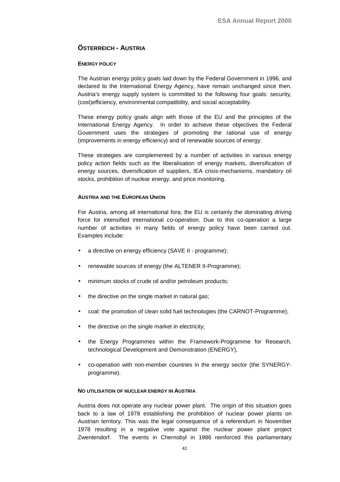## <span id="page-44-0"></span>**ÖSTERREICH - AUSTRIA**

## **ENERGY POLICY**

The Austrian energy policy goals laid down by the Federal Government in 1996, and declared to the International Energy Agency, have remain unchanged since then. Austria's energy supply system is committed to the following four goals: security, (cost)efficiency, environmental compatibility, and social acceptability.

These energy policy goals align with those of the EU and the principles of the International Energy Agency. In order to achieve these objectives the Federal Government uses the strategies of promoting the rational use of energy (improvements in energy efficiency) and of renewable sources of energy.

These strategies are complemented by a number of activities in various energy policy action fields such as the liberalisation of energy markets, diversification of energy sources, diversification of suppliers, IEA crisis-mechanisms, mandatory oil stocks, prohibition of nuclear energy, and price monitoring.

## **AUSTRIA AND THE EUROPEAN UNION**

For Austria, among all international fora, the EU is certainly the dominating driving force for intensified international co-operation. Due to this co-operation a large number of activities in many fields of energy policy have been carried out. Examples include:

- a directive on energy efficiency (SAVE II programme);
- renewable sources of energy (the ALTENER II-Programme);
- minimum stocks of crude oil and/or petroleum products;
- the directive on the single market in natural gas;
- coal: the promotion of clean solid fuel technologies (the CARNOT-Programme):
- the directive on the single market in electricity;
- the Energy Programmes within the Framework-Programme for Research, technological Development and Demonstration (ENERGY),
- co-operation with non-member countries in the energy sector (the SYNERGYprogramme).

## **NO UTILISATION OF NUCLEAR ENERGY IN AUSTRIA**

Austria does not operate any nuclear power plant. The origin of this situation goes back to a law of 1978 establishing the prohibition of nuclear power plants on Austrian territory. This was the legal consequence of a referendum in November 1978 resulting in a negative vote against the nuclear power plant project Zwentendorf. The events in Chernobyl in 1986 reinforced this parliamentary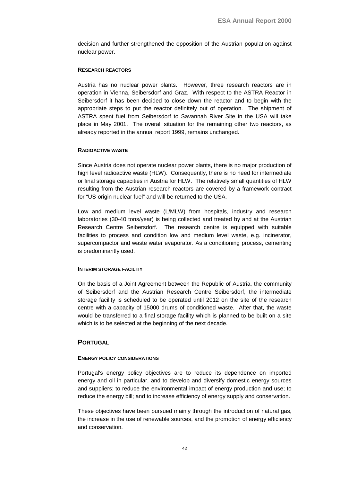<span id="page-45-0"></span>decision and further strengthened the opposition of the Austrian population against nuclear power.

### **RESEARCH REACTORS**

Austria has no nuclear power plants. However, three research reactors are in operation in Vienna, Seibersdorf and Graz. With respect to the ASTRA Reactor in Seibersdorf it has been decided to close down the reactor and to begin with the appropriate steps to put the reactor definitely out of operation. The shipment of ASTRA spent fuel from Seibersdorf to Savannah River Site in the USA will take place in May 2001. The overall situation for the remaining other two reactors, as already reported in the annual report 1999, remains unchanged.

## **RADIOACTIVE WASTE**

Since Austria does not operate nuclear power plants, there is no major production of high level radioactive waste (HLW). Consequently, there is no need for intermediate or final storage capacities in Austria for HLW. The relatively small quantities of HLW resulting from the Austrian research reactors are covered by a framework contract for "US-origin nuclear fuel" and will be returned to the USA.

Low and medium level waste (L/MLW) from hospitals, industry and research laboratories (30-40 tons/year) is being collected and treated by and at the Austrian Research Centre Seibersdorf. The research centre is equipped with suitable facilities to process and condition low and medium level waste, e.g. incinerator, supercompactor and waste water evaporator. As a conditioning process, cementing is predominantly used.

## **INTERIM STORAGE FACILITY**

On the basis of a Joint Agreement between the Republic of Austria, the community of Seibersdorf and the Austrian Research Centre Seibersdorf, the intermediate storage facility is scheduled to be operated until 2012 on the site of the research centre with a capacity of 15000 drums of conditioned waste. After that, the waste would be transferred to a final storage facility which is planned to be built on a site which is to be selected at the beginning of the next decade.

## **PORTUGAL**

## **ENERGY POLICY CONSIDERATIONS**

Portugal's energy policy objectives are to reduce its dependence on imported energy and oil in particular, and to develop and diversify domestic energy sources and suppliers; to reduce the environmental impact of energy production and use; to reduce the energy bill; and to increase efficiency of energy supply and conservation.

These objectives have been pursued mainly through the introduction of natural gas, the increase in the use of renewable sources, and the promotion of energy efficiency and conservation.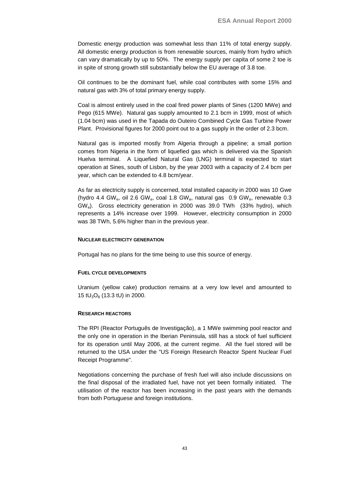Domestic energy production was somewhat less than 11% of total energy supply. All domestic energy production is from renewable sources, mainly from hydro which can vary dramatically by up to 50%. The energy supply per capita of some 2 toe is in spite of strong growth still substantially below the EU average of 3.8 toe.

Oil continues to be the dominant fuel, while coal contributes with some 15% and natural gas with 3% of total primary energy supply.

Coal is almost entirely used in the coal fired power plants of Sines (1200 MWe) and Pego (615 MWe). Natural gas supply amounted to 2.1 bcm in 1999, most of which (1.04 bcm) was used in the Tapada do Outeiro Combined Cycle Gas Turbine Power Plant. Provisional figures for 2000 point out to a gas supply in the order of 2.3 bcm.

Natural gas is imported mostly from Algeria through a pipeline; a small portion comes from Nigeria in the form of liquefied gas which is delivered via the Spanish Huelva terminal. A Liquefied Natural Gas (LNG) terminal is expected to start operation at Sines, south of Lisbon, by the year 2003 with a capacity of 2.4 bcm per year, which can be extended to 4.8 bcm/year.

As far as electricity supply is concerned, total installed capacity in 2000 was 10 Gwe (hydro 4.4 GW<sub>e</sub>, oil 2.6 GW<sub>e</sub>, coal 1.8 GW<sub>e</sub>, natural gas  $0.9$  GW<sub>e</sub>, renewable 0.3 GWe). Gross electricity generation in 2000 was 39.0 TWh (33% hydro), which represents a 14% increase over 1999. However, electricity consumption in 2000 was 38 TWh, 5.6% higher than in the previous year.

#### **NUCLEAR ELECTRICITY GENERATION**

Portugal has no plans for the time being to use this source of energy.

#### **FUEL CYCLE DEVELOPMENTS**

Uranium (yellow cake) production remains at a very low level and amounted to 15 t $U_3O_8$  (13.3 tU) in 2000.

#### **RESEARCH REACTORS**

The RPI (Reactor Português de Investigação), a 1 MWe swimming pool reactor and the only one in operation in the Iberian Peninsula, still has a stock of fuel sufficient for its operation until May 2006, at the current regime. All the fuel stored will be returned to the USA under the "US Foreign Research Reactor Spent Nuclear Fuel Receipt Programme".

Negotiations concerning the purchase of fresh fuel will also include discussions on the final disposal of the irradiated fuel, have not yet been formally initiated. The utilisation of the reactor has been increasing in the past years with the demands from both Portuguese and foreign institutions.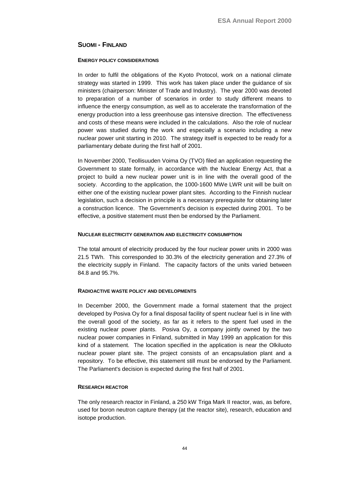## **SUOMI - FINLAND**

### **ENERGY POLICY CONSIDERATIONS**

In order to fulfil the obligations of the Kyoto Protocol, work on a national climate strategy was started in 1999. This work has taken place under the guidance of six ministers (chairperson: Minister of Trade and Industry). The year 2000 was devoted to preparation of a number of scenarios in order to study different means to influence the energy consumption, as well as to accelerate the transformation of the energy production into a less greenhouse gas intensive direction. The effectiveness and costs of these means were included in the calculations. Also the role of nuclear power was studied during the work and especially a scenario including a new nuclear power unit starting in 2010. The strategy itself is expected to be ready for a parliamentary debate during the first half of 2001.

In November 2000, Teollisuuden Voima Oy (TVO) filed an application requesting the Government to state formally, in accordance with the Nuclear Energy Act, that a project to build a new nuclear power unit is in line with the overall good of the society. According to the application, the 1000-1600 MWe LWR unit will be built on either one of the existing nuclear power plant sites. According to the Finnish nuclear legislation, such a decision in principle is a necessary prerequisite for obtaining later a construction licence. The Government's decision is expected during 2001. To be effective, a positive statement must then be endorsed by the Parliament.

### **NUCLEAR ELECTRICITY GENERATION AND ELECTRICITY CONSUMPTION**

The total amount of electricity produced by the four nuclear power units in 2000 was 21.5 TWh. This corresponded to 30.3% of the electricity generation and 27.3% of the electricity supply in Finland. The capacity factors of the units varied between 84.8 and 95.7%.

## **RADIOACTIVE WASTE POLICY AND DEVELOPMENTS**

In December 2000, the Government made a formal statement that the project developed by Posiva Oy for a final disposal facility of spent nuclear fuel is in line with the overall good of the society, as far as it refers to the spent fuel used in the existing nuclear power plants. Posiva Oy, a company jointly owned by the two nuclear power companies in Finland, submitted in May 1999 an application for this kind of a statement. The location specified in the application is near the Olkiluoto nuclear power plant site. The project consists of an encapsulation plant and a repository. To be effective, this statement still must be endorsed by the Parliament. The Parliament's decision is expected during the first half of 2001.

## **RESEARCH REACTOR**

The only research reactor in Finland, a 250 kW Triga Mark II reactor, was, as before, used for boron neutron capture therapy (at the reactor site), research, education and isotope production.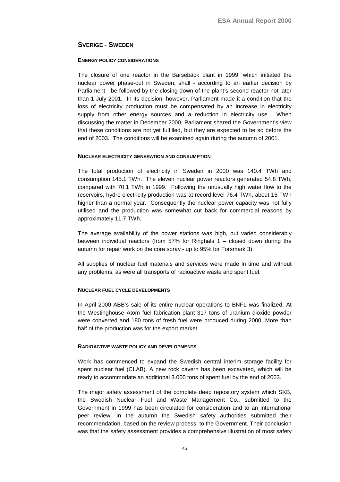## **SVERIGE - SWEDEN**

#### **ENERGY POLICY CONSIDERATIONS**

The closure of one reactor in the Barsebäck plant in 1999, which initiated the nuclear power phase-out in Sweden, shall - according to an earlier decision by Parliament - be followed by the closing down of the plant's second reactor not later than 1 July 2001. In its decision, however, Parliament made it a condition that the loss of electricity production must be compensated by an increase in electricity supply from other energy sources and a reduction in electricity use. When discussing the matter in December 2000, Parliament shared the Government's view that these conditions are not yet fulfilled, but they are expected to be so before the end of 2003. The conditions will be examined again during the autumn of 2001.

### **NUCLEAR ELECTRICITY GENERATION AND CONSUMPTION**

The total production of electricity in Sweden in 2000 was 140.4 TWh and consumption 145.1 TWh. The eleven nuclear power reactors generated 54.8 TWh, compared with 70.1 TWh in 1999. Following the unusually high water flow to the reservoirs, hydro electricity production was at record level 76.4 TWh, about 15 TWh higher than a normal year. Consequently the nuclear power capacity was not fully utilised and the production was somewhat cut back for commercial reasons by approximately 11.7 TWh.

The average availability of the power stations was high, but varied considerably between individual reactors (from 57% for Ringhals 1 – closed down during the autumn for repair work on the core spray - up to 95% for Forsmark 3).

All supplies of nuclear fuel materials and services were made in time and without any problems, as were all transports of radioactive waste and spent fuel.

## **NUCLEAR FUEL CYCLE DEVELOPMENTS**

In April 2000 ABB's sale of its entire nuclear operations to BNFL was finalized. At the Westinghouse Atom fuel fabrication plant 317 tons of uranium dioxide powder were converted and 180 tons of fresh fuel were produced during 2000. More than half of the production was for the export market.

#### **RADIOACTIVE WASTE POLICY AND DEVELOPMENTS**

Work has commenced to expand the Swedish central interim storage facility for spent nuclear fuel (CLAB). A new rock cavern has been excavated, which will be ready to accommodate an additional 3.000 tons of spent fuel by the end of 2003.

The major safety assessment of the complete deep repository system which SKB, the Swedish Nuclear Fuel and Waste Management Co., submitted to the Government in 1999 has been circulated for consideration and to an international peer review. In the autumn the Swedish safety authorities submitted their recommendation, based on the review process, to the Government. Their conclusion was that the safety assessment provides a comprehensive illustration of most safety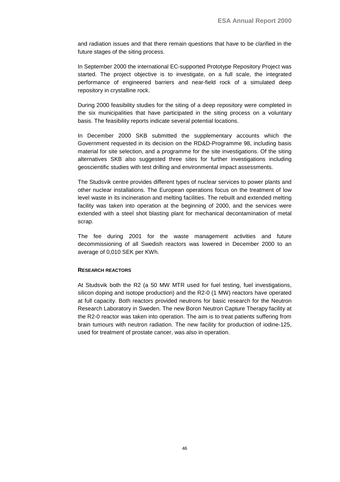and radiation issues and that there remain questions that have to be clarified in the future stages of the siting process.

In September 2000 the international EC-supported Prototype Repository Project was started. The project objective is to investigate, on a full scale, the integrated performance of engineered barriers and near-field rock of a simulated deep repository in crystalline rock.

During 2000 feasibility studies for the siting of a deep repository were completed in the six municipalities that have participated in the siting process on a voluntary basis. The feasibility reports indicate several potential locations.

In December 2000 SKB submitted the supplementary accounts which the Government requested in its decision on the RD&D-Programme 98, including basis material for site selection, and a programme for the site investigations. Of the siting alternatives SKB also suggested three sites for further investigations including geoscientific studies with test drilling and environmental impact assessments.

The Studsvik centre provides different types of nuclear services to power plants and other nuclear installations. The European operations focus on the treatment of low level waste in its incineration and melting facilities. The rebuilt and extended melting facility was taken into operation at the beginning of 2000, and the services were extended with a steel shot blasting plant for mechanical decontamination of metal scrap.

The fee during 2001 for the waste management activities and future decommissioning of all Swedish reactors was lowered in December 2000 to an average of 0,010 SEK per KWh.

#### **RESEARCH REACTORS**

At Studsvik both the R2 (a 50 MW MTR used for fuel testing, fuel investigations, silicon doping and isotope production) and the R2-0 (1 MW) reactors have operated at full capacity. Both reactors provided neutrons for basic research for the Neutron Research Laboratory in Sweden. The new Boron Neutron Capture Therapy facility at the R2-0 reactor was taken into operation. The aim is to treat patients suffering from brain tumours with neutron radiation. The new facility for production of iodine-125, used for treatment of prostate cancer, was also in operation.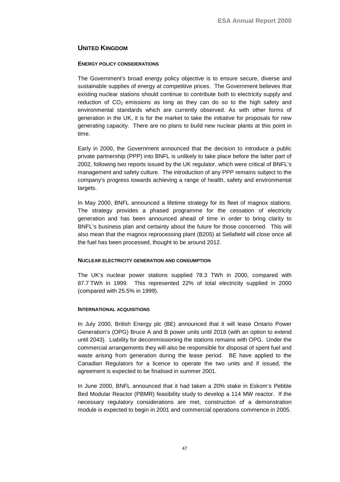## **UNITED KINGDOM**

## **ENERGY POLICY CONSIDERATIONS**

The Government's broad energy policy objective is to ensure secure, diverse and sustainable supplies of energy at competitive prices. The Government believes that existing nuclear stations should continue to contribute both to electricity supply and reduction of  $CO<sub>2</sub>$  emissions as long as they can do so to the high safety and environmental standards which are currently observed. As with other forms of generation in the UK, it is for the market to take the initiative for proposals for new generating capacity. There are no plans to build new nuclear plants at this point in time.

Early in 2000, the Government announced that the decision to introduce a public private partnership (PPP) into BNFL is unlikely to take place before the latter part of 2002, following two reports issued by the UK regulator, which were critical of BNFL's management and safety culture. The introduction of any PPP remains subject to the company's progress towards achieving a range of health, safety and environmental targets.

In May 2000, BNFL announced a lifetime strategy for its fleet of magnox stations. The strategy provides a phased programme for the cessation of electricity generation and has been announced ahead of time in order to bring clarity to BNFL's business plan and certainty about the future for those concerned. This will also mean that the magnox reprocessing plant (B205) at Sellafield will close once all the fuel has been processed, thought to be around 2012.

## **NUCLEAR ELECTRICITY GENERATION AND CONSUMPTION**

The UK's nuclear power stations supplied 78.3 TWh in 2000, compared with 87.7 TWh in 1999. This represented 22% of total electricity supplied in 2000 (compared with 25.5% in 1999).

## **INTERNATIONAL ACQUISITIONS**

In July 2000, British Energy plc (BE) announced that it will lease Ontario Power Generation's (OPG) Bruce A and B power units until 2018 (with an option to extend until 2043). Liability for decommissioning the stations remains with OPG. Under the commercial arrangements they will also be responsible for disposal of spent fuel and waste arising from generation during the lease period. BE have applied to the Canadian Regulators for a licence to operate the two units and if issued, the agreement is expected to be finalised in summer 2001.

In June 2000, BNFL announced that it had taken a 20% stake in Eskom's Pebble Bed Modular Reactor (PBMR) feasibility study to develop a 114 MW reactor. If the necessary regulatory considerations are met, construction of a demonstration module is expected to begin in 2001 and commercial operations commence in 2005.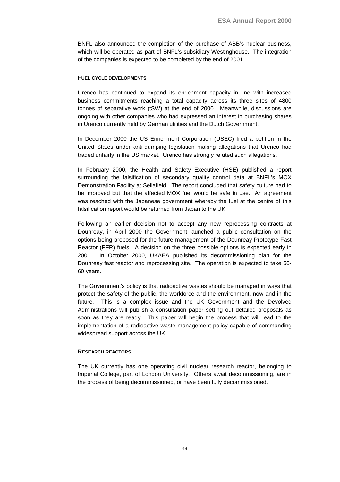BNFL also announced the completion of the purchase of ABB's nuclear business, which will be operated as part of BNFL's subsidiary Westinghouse. The integration of the companies is expected to be completed by the end of 2001.

#### **FUEL CYCLE DEVELOPMENTS**

Urenco has continued to expand its enrichment capacity in line with increased business commitments reaching a total capacity across its three sites of 4800 tonnes of separative work (tSW) at the end of 2000. Meanwhile, discussions are ongoing with other companies who had expressed an interest in purchasing shares in Urenco currently held by German utilities and the Dutch Government.

In December 2000 the US Enrichment Corporation (USEC) filed a petition in the United States under anti-dumping legislation making allegations that Urenco had traded unfairly in the US market. Urenco has strongly refuted such allegations.

In February 2000, the Health and Safety Executive (HSE) published a report surrounding the falsification of secondary quality control data at BNFL's MOX Demonstration Facility at Sellafield. The report concluded that safety culture had to be improved but that the affected MOX fuel would be safe in use. An agreement was reached with the Japanese government whereby the fuel at the centre of this falsification report would be returned from Japan to the UK.

Following an earlier decision not to accept any new reprocessing contracts at Dounreay, in April 2000 the Government launched a public consultation on the options being proposed for the future management of the Dounreay Prototype Fast Reactor (PFR) fuels. A decision on the three possible options is expected early in 2001. In October 2000, UKAEA published its decommissioning plan for the Dounreay fast reactor and reprocessing site. The operation is expected to take 50- 60 years.

The Government's policy is that radioactive wastes should be managed in ways that protect the safety of the public, the workforce and the environment, now and in the future. This is a complex issue and the UK Government and the Devolved Administrations will publish a consultation paper setting out detailed proposals as soon as they are ready. This paper will begin the process that will lead to the implementation of a radioactive waste management policy capable of commanding widespread support across the UK.

#### **RESEARCH REACTORS**

The UK currently has one operating civil nuclear research reactor, belonging to Imperial College, part of London University. Others await decommissioning, are in the process of being decommissioned, or have been fully decommissioned.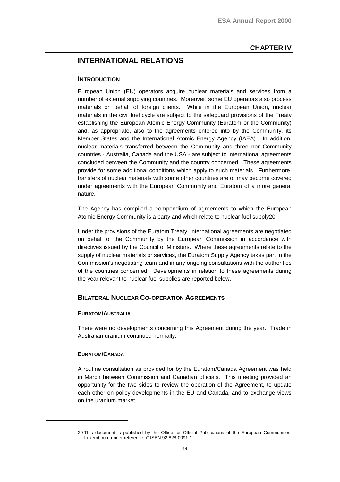## <span id="page-52-0"></span>**INTERNATIONAL RELATIONS**

#### **INTRODUCTION**

European Union (EU) operators acquire nuclear materials and services from a number of external supplying countries. Moreover, some EU operators also process materials on behalf of foreign clients. While in the European Union, nuclear materials in the civil fuel cycle are subject to the safeguard provisions of the Treaty establishing the European Atomic Energy Community (Euratom or the Community) and, as appropriate, also to the agreements entered into by the Community, its Member States and the International Atomic Energy Agency (IAEA). In addition, nuclear materials transferred between the Community and three non-Community countries - Australia, Canada and the USA - are subject to international agreements concluded between the Community and the country concerned. These agreements provide for some additional conditions which apply to such materials. Furthermore, transfers of nuclear materials with some other countries are or may become covered under agreements with the European Community and Euratom of a more general nature.

The Agency has compiled a compendium of agreements to which the European Atomic Energy Community is a party and which relate to nuclear fuel supply20.

Under the provisions of the Euratom Treaty, international agreements are negotiated on behalf of the Community by the European Commission in accordance with directives issued by the Council of Ministers. Where these agreements relate to the supply of nuclear materials or services, the Euratom Supply Agency takes part in the Commission's negotiating team and in any ongoing consultations with the authorities of the countries concerned. Developments in relation to these agreements during the year relevant to nuclear fuel supplies are reported below.

## **BILATERAL NUCLEAR CO-OPERATION AGREEMENTS**

#### **EURATOM/AUSTRALIA**

There were no developments concerning this Agreement during the year. Trade in Australian uranium continued normally.

#### **EURATOM/CANADA**

A routine consultation as provided for by the Euratom/Canada Agreement was held in March between Commission and Canadian officials. This meeting provided an opportunity for the two sides to review the operation of the Agreement, to update each other on policy developments in the EU and Canada, and to exchange views on the uranium market.

<sup>20</sup> This document is published by the Office for Official Publications of the European Communities, Luxembourg under reference n° ISBN 92-828-0091-1.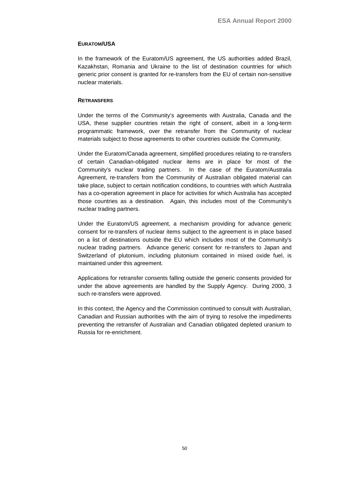#### **EURATOM/USA**

In the framework of the Euratom/US agreement, the US authorities added Brazil, Kazakhstan, Romania and Ukraine to the list of destination countries for which generic prior consent is granted for re-transfers from the EU of certain non-sensitive nuclear materials.

#### **RETRANSFERS**

Under the terms of the Community's agreements with Australia, Canada and the USA, these supplier countries retain the right of consent, albeit in a long-term programmatic framework, over the retransfer from the Community of nuclear materials subject to those agreements to other countries outside the Community.

Under the Euratom/Canada agreement, simplified procedures relating to re-transfers of certain Canadian-obligated nuclear items are in place for most of the Community's nuclear trading partners. In the case of the Euratom/Australia Agreement, re-transfers from the Community of Australian obligated material can take place, subject to certain notification conditions, to countries with which Australia has a co-operation agreement in place for activities for which Australia has accepted those countries as a destination. Again, this includes most of the Community's nuclear trading partners.

Under the Euratom/US agreement, a mechanism providing for advance generic consent for re-transfers of nuclear items subject to the agreement is in place based on a list of destinations outside the EU which includes most of the Community's nuclear trading partners. Advance generic consent for re-transfers to Japan and Switzerland of plutonium, including plutonium contained in mixed oxide fuel, is maintained under this agreement.

Applications for retransfer consents falling outside the generic consents provided for under the above agreements are handled by the Supply Agency. During 2000, 3 such re-transfers were approved.

In this context, the Agency and the Commission continued to consult with Australian, Canadian and Russian authorities with the aim of trying to resolve the impediments preventing the retransfer of Australian and Canadian obligated depleted uranium to Russia for re-enrichment.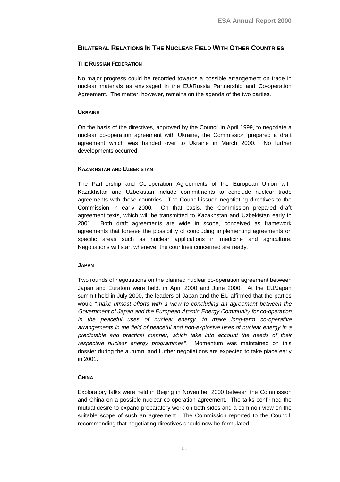## <span id="page-54-0"></span>**BILATERAL RELATIONS IN THE NUCLEAR FIELD WITH OTHER COUNTRIES**

#### **THE RUSSIAN FEDERATION**

No major progress could be recorded towards a possible arrangement on trade in nuclear materials as envisaged in the EU/Russia Partnership and Co-operation Agreement. The matter, however, remains on the agenda of the two parties.

### **UKRAINE**

On the basis of the directives, approved by the Council in April 1999, to negotiate a nuclear co-operation agreement with Ukraine, the Commission prepared a draft agreement which was handed over to Ukraine in March 2000. No further developments occurred.

### **KAZAKHSTAN AND UZBEKISTAN**

The Partnership and Co-operation Agreements of the European Union with Kazakhstan and Uzbekistan include commitments to conclude nuclear trade agreements with these countries. The Council issued negotiating directives to the Commission in early 2000. On that basis, the Commission prepared draft agreement texts, which will be transmitted to Kazakhstan and Uzbekistan early in 2001. Both draft agreements are wide in scope, conceived as framework agreements that foresee the possibility of concluding implementing agreements on specific areas such as nuclear applications in medicine and agriculture. Negotiations will start whenever the countries concerned are ready.

#### **JAPAN**

Two rounds of negotiations on the planned nuclear co-operation agreement between Japan and Euratom were held, in April 2000 and June 2000. At the EU/Japan summit held in July 2000, the leaders of Japan and the EU affirmed that the parties would "make utmost efforts with <sup>a</sup> view to concluding an agreement between the Government of Japan and the European Atomic Energy Community for co-operation in the peaceful uses of nuclear energy, to make long-term co-operative arrangements in the field of peaceful and non-explosive uses of nuclear energy in <sup>a</sup> predictable and practical manner, which take into account the needs of their respective nuclear energy programmes". Momentum was maintained on this dossier during the autumn, and further negotiations are expected to take place early in 2001.

## **CHINA**

Exploratory talks were held in Beijing in November 2000 between the Commission and China on a possible nuclear co-operation agreement. The talks confirmed the mutual desire to expand preparatory work on both sides and a common view on the suitable scope of such an agreement. The Commission reported to the Council, recommending that negotiating directives should now be formulated.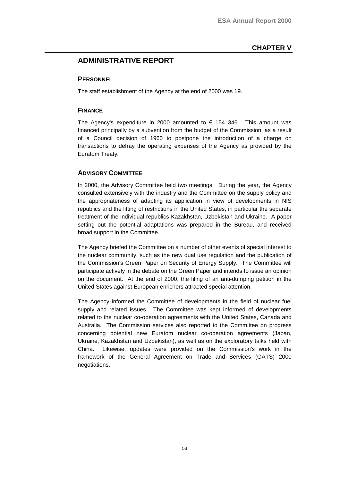## <span id="page-56-0"></span>**ADMINISTRATIVE REPORT**

## **PERSONNEL**

The staff establishment of the Agency at the end of 2000 was 19.

## **FINANCE**

The Agency's expenditure in 2000 amounted to  $\epsilon$  154 346. This amount was financed principally by a subvention from the budget of the Commission, as a result of a Council decision of 1960 to postpone the introduction of a charge on transactions to defray the operating expenses of the Agency as provided by the Euratom Treaty.

## **ADVISORY COMMITTEE**

In 2000, the Advisory Committee held two meetings. During the year, the Agency consulted extensively with the industry and the Committee on the supply policy and the appropriateness of adapting its application in view of developments in NIS republics and the lifting of restrictions in the United States, in particular the separate treatment of the individual republics Kazakhstan, Uzbekistan and Ukraine. A paper setting out the potential adaptations was prepared in the Bureau, and received broad support in the Committee.

The Agency briefed the Committee on a number of other events of special interest to the nuclear community, such as the new dual use regulation and the publication of the Commission's Green Paper on Security of Energy Supply. The Committee will participate actively in the debate on the Green Paper and intends to issue an opinion on the document. At the end of 2000, the filing of an anti-dumping petition in the United States against European enrichers attracted special attention.

The Agency informed the Committee of developments in the field of nuclear fuel supply and related issues. The Committee was kept informed of developments related to the nuclear co-operation agreements with the United States, Canada and Australia. The Commission services also reported to the Committee on progress concerning potential new Euratom nuclear co-operation agreements (Japan, Ukraine, Kazakhstan and Uzbekistan), as well as on the exploratory talks held with China. Likewise, updates were provided on the Commission's work in the framework of the General Agreement on Trade and Services (GATS) 2000 negotiations.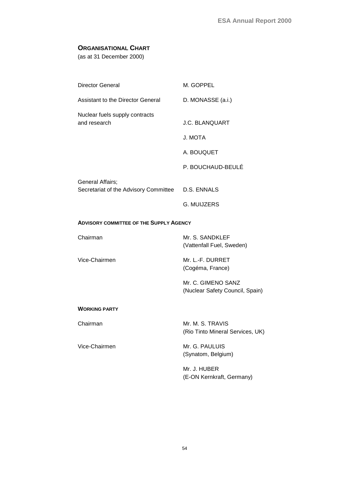## <span id="page-57-0"></span>**ORGANISATIONAL CHART**

(as at 31 December 2000)

| Director General                                          | M. GOPPEL             |
|-----------------------------------------------------------|-----------------------|
| Assistant to the Director General                         | D. MONASSE (a.i.)     |
| Nuclear fuels supply contracts<br>and research            | <b>J.C. BLANQUART</b> |
|                                                           | J. MOTA               |
|                                                           | A. BOUQUET            |
|                                                           | P. BOUCHAUD-BEULÉ     |
| General Affairs;<br>Secretariat of the Advisory Committee | D.S. ENNALS           |
|                                                           | G. MUIJZERS           |

## **ADVISORY COMMITTEE OF THE SUPPLY AGENCY**

| Chairman      | Mr. S. SANDKLEF<br>(Vattenfall Fuel, Sweden) |
|---------------|----------------------------------------------|
| Vice-Chairmen | Mr. L.-F. DURRET                             |

(Cogéma, France)

Mr. C. GIMENO SANZ (Nuclear Safety Council, Spain)

### **WORKING PARTY**

Chairman Mr. M. S. TRAVIS

Vice-Chairmen Mr. G. PAULUIS

(Rio Tinto Mineral Services, UK)

(Synatom, Belgium)

Mr. J. HUBER (E-ON Kernkraft, Germany)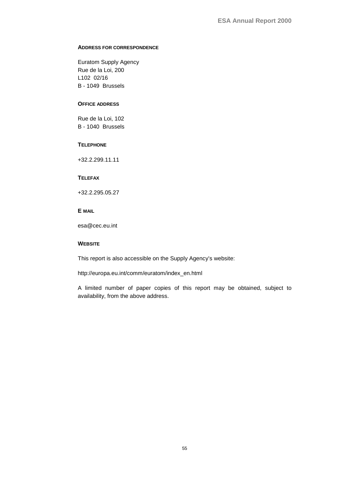### **ADDRESS FOR CORRESPONDENCE**

Euratom Supply Agency Rue de la Loi, 200 L102 02/16 B - 1049 Brussels

#### **OFFICE ADDRESS**

Rue de la Loi, 102 B - 1040 Brussels

#### **TELEPHONE**

+32.2.299.11.11

### **TELEFAX**

+32.2.295.05.27

## **E MAIL**

esa@cec.eu.int

### **WEBSITE**

This report is also accessible on the Supply Agency's website:

http://europa.eu.int/comm/euratom/index\_en.html

A limited number of paper copies of this report may be obtained, subject to [availability,](http://europa.eu.int/comm/euratom/index_en.html) [from](http://europa.eu.int/comm/euratom/index_en.html) [the](http://europa.eu.int/comm/euratom/index_en.html) [above](http://europa.eu.int/comm/euratom/index_en.html) [address.](http://europa.eu.int/comm/euratom/index_en.html)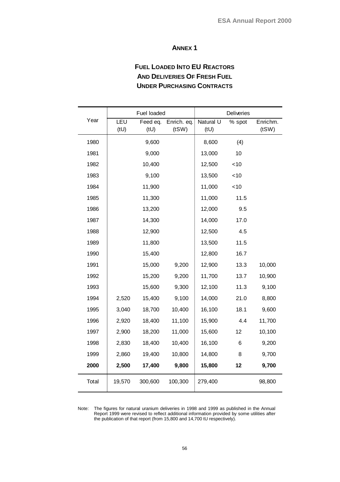## **ANNEX 1**

# **FUEL LOADED INTO EU REACTORS AND DELIVERIES OF FRESH FUEL UNDER PURCHASING CONTRACTS**

<span id="page-59-0"></span>

|       | Fuel loaded |                  |                      | Deliveries        |        |                   |
|-------|-------------|------------------|----------------------|-------------------|--------|-------------------|
| Year  | LEU<br>(tU) | Feed eq.<br>(tU) | Enrich. eq.<br>(tSW) | Natural U<br>(tU) | % spot | Enrichm.<br>(tSW) |
| 1980  |             | 9,600            |                      | 8,600             | (4)    |                   |
| 1981  |             | 9,000            |                      | 13,000            | 10     |                   |
| 1982  |             | 10,400           |                      | 12,500            | $<$ 10 |                   |
| 1983  |             | 9,100            |                      | 13,500            | < 10   |                   |
| 1984  |             | 11,900           |                      | 11,000            | < 10   |                   |
| 1985  |             | 11,300           |                      | 11,000            | 11.5   |                   |
| 1986  |             | 13,200           |                      | 12,000            | 9.5    |                   |
| 1987  |             | 14,300           |                      | 14,000            | 17.0   |                   |
| 1988  |             | 12,900           |                      | 12,500            | 4.5    |                   |
| 1989  |             | 11,800           |                      | 13,500            | 11.5   |                   |
| 1990  |             | 15,400           |                      | 12,800            | 16.7   |                   |
| 1991  |             | 15,000           | 9,200                | 12,900            | 13.3   | 10,000            |
| 1992  |             | 15,200           | 9,200                | 11,700            | 13.7   | 10,900            |
| 1993  |             | 15,600           | 9,300                | 12,100            | 11.3   | 9,100             |
| 1994  | 2,520       | 15,400           | 9,100                | 14,000            | 21.0   | 8,800             |
| 1995  | 3,040       | 18,700           | 10,400               | 16,100            | 18.1   | 9,600             |
| 1996  | 2,920       | 18,400           | 11,100               | 15,900            | 4.4    | 11,700            |
| 1997  | 2,900       | 18,200           | 11,000               | 15,600            | 12     | 10,100            |
| 1998  | 2,830       | 18,400           | 10,400               | 16,100            | 6      | 9,200             |
| 1999  | 2,860       | 19,400           | 10,800               | 14,800            | 8      | 9,700             |
| 2000  | 2,500       | 17,400           | 9,800                | 15,800            | 12     | 9,700             |
| Total | 19,570      | 300,600          | 100,300              | 279,400           |        | 98,800            |

Note: The figures for natural uranium deliveries in 1998 and 1999 as published in the Annual Report 1999 were revised to reflect additional information provided by some utilities after the publication of that report (from 15,800 and 14,700 tU respectively).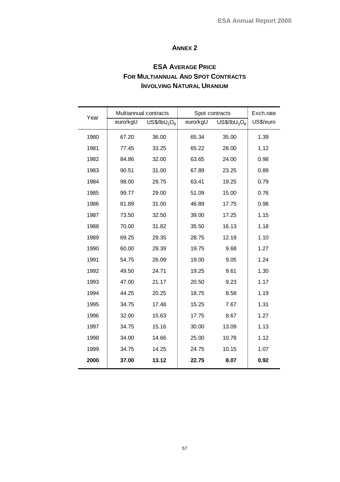## **ANNEX 2**

# **ESA AVERAGE PRICE FOR MULTIANNUAL AND SPOT CONTRACTS INVOLVING NATURAL URANIUM**

| Year | Multiannual contracts |                                      | Spot contracts | Exch.rate                            |           |
|------|-----------------------|--------------------------------------|----------------|--------------------------------------|-----------|
|      | euro/kgU              | US\$/IbU <sub>3</sub> O <sub>8</sub> | euro/kgU       | US\$/IbU <sub>3</sub> O <sub>8</sub> | US\$/euro |
| 1980 | 67.20                 | 36.00                                | 65.34          | 35.00                                | 1.39      |
| 1981 | 77.45                 | 33.25                                | 65.22          | 28.00                                | 1.12      |
| 1982 | 84.86                 | 32.00                                | 63.65          | 24.00                                | 0.98      |
| 1983 | 90.51                 | 31.00                                | 67.89          | 23.25                                | 0.89      |
| 1984 | 98.00                 | 29.75                                | 63.41          | 19.25                                | 0.79      |
| 1985 | 99.77                 | 29.00                                | 51.09          | 15.00                                | 0.76      |
| 1986 | 81.89                 | 31.00                                | 46.89          | 17.75                                | 0.98      |
| 1987 | 73.50                 | 32.50                                | 39.00          | 17.25                                | 1.15      |
| 1988 | 70.00                 | 31.82                                | 35.50          | 16.13                                | 1.18      |
| 1989 | 69.25                 | 29.35                                | 28.75          | 12.19                                | 1.10      |
| 1990 | 60.00                 | 29.39                                | 19.75          | 9.68                                 | 1.27      |
| 1991 | 54.75                 | 26.09                                | 19.00          | 9.05                                 | 1.24      |
| 1992 | 49.50                 | 24.71                                | 19.25          | 9.61                                 | 1.30      |
| 1993 | 47.00                 | 21.17                                | 20.50          | 9.23                                 | 1.17      |
| 1994 | 44.25                 | 20.25                                | 18.75          | 8.58                                 | 1.19      |
| 1995 | 34.75                 | 17.48                                | 15.25          | 7.67                                 | 1.31      |
| 1996 | 32.00                 | 15.63                                | 17.75          | 8.67                                 | 1.27      |
| 1997 | 34.75                 | 15.16                                | 30.00          | 13.09                                | 1.13      |
| 1998 | 34.00                 | 14.66                                | 25.00          | 10.78                                | 1.12      |
| 1999 | 34.75                 | 14.25                                | 24.75          | 10.15                                | 1.07      |
| 2000 | 37.00                 | 13.12                                | 22.75          | 8.07                                 | 0.92      |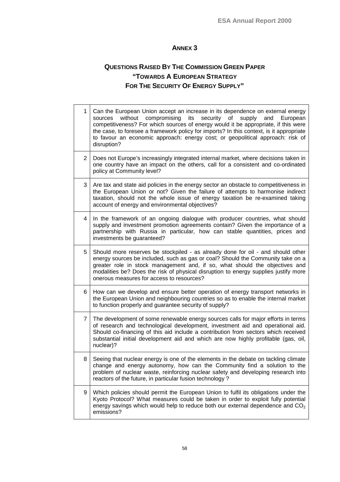## **ANNEX 3**

# **QUESTIONS RAISED BY THE COMMISSION GREEN PAPER "TOWARDS A EUROPEAN STRATEGY FOR THE SECURITY OF ENERGY SUPPLY"**

| $\mathbf{1}$   | Can the European Union accept an increase in its dependence on external energy<br>without<br>compromising<br>its<br>security<br>of<br>supply<br>and<br>European<br>sources<br>competitiveness? For which sources of energy would it be appropriate, if this were<br>the case, to foresee a framework policy for imports? In this context, is it appropriate<br>to favour an economic approach: energy cost; or geopolitical approach: risk of<br>disruption? |
|----------------|--------------------------------------------------------------------------------------------------------------------------------------------------------------------------------------------------------------------------------------------------------------------------------------------------------------------------------------------------------------------------------------------------------------------------------------------------------------|
| $\overline{c}$ | Does not Europe's increasingly integrated internal market, where decisions taken in<br>one country have an impact on the others, call for a consistent and co-ordinated<br>policy at Community level?                                                                                                                                                                                                                                                        |
| 3              | Are tax and state aid policies in the energy sector an obstacle to competitiveness in<br>the European Union or not? Given the failure of attempts to harmonise indirect<br>taxation, should not the whole issue of energy taxation be re-examined taking<br>account of energy and environmental objectives?                                                                                                                                                  |
| 4              | In the framework of an ongoing dialogue with producer countries, what should<br>supply and investment promotion agreements contain? Given the importance of a<br>partnership with Russia in particular, how can stable quantities, prices and<br>investments be guaranteed?                                                                                                                                                                                  |
| 5              | Should more reserves be stockpiled - as already done for oil - and should other<br>energy sources be included, such as gas or coal? Should the Community take on a<br>greater role in stock management and, if so, what should the objectives and<br>modalities be? Does the risk of physical disruption to energy supplies justify more<br>onerous measures for access to resources?                                                                        |
| 6              | How can we develop and ensure better operation of energy transport networks in<br>the European Union and neighbouring countries so as to enable the internal market<br>to function properly and guarantee security of supply?                                                                                                                                                                                                                                |
| 7              | The development of some renewable energy sources calls for major efforts in terms<br>of research and technological development, investment aid and operational aid.<br>Should co-financing of this aid include a contribution from sectors which received<br>substantial initial development aid and which are now highly profitable (gas, oil,<br>nuclear)?                                                                                                 |
| 8              | Seeing that nuclear energy is one of the elements in the debate on tackling climate<br>change and energy autonomy, how can the Community find a solution to the<br>problem of nuclear waste, reinforcing nuclear safety and developing research into<br>reactors of the future, in particular fusion technology?                                                                                                                                             |
| 9              | Which policies should permit the European Union to fulfil its obligations under the<br>Kyoto Protocol? What measures could be taken in order to exploit fully potential<br>energy savings which would help to reduce both our external dependence and $CO2$<br>emissions?                                                                                                                                                                                    |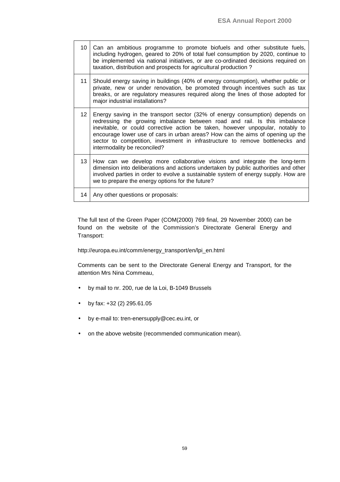| 10              | Can an ambitious programme to promote biofuels and other substitute fuels,<br>including hydrogen, geared to 20% of total fuel consumption by 2020, continue to<br>be implemented via national initiatives, or are co-ordinated decisions required on<br>taxation, distribution and prospects for agricultural production?                                                                                                                      |
|-----------------|------------------------------------------------------------------------------------------------------------------------------------------------------------------------------------------------------------------------------------------------------------------------------------------------------------------------------------------------------------------------------------------------------------------------------------------------|
| 11              | Should energy saving in buildings (40% of energy consumption), whether public or<br>private, new or under renovation, be promoted through incentives such as tax<br>breaks, or are regulatory measures required along the lines of those adopted for<br>major industrial installations?                                                                                                                                                        |
| 12 <sup>1</sup> | Energy saving in the transport sector (32% of energy consumption) depends on<br>redressing the growing imbalance between road and rail. Is this imbalance<br>inevitable, or could corrective action be taken, however unpopular, notably to<br>encourage lower use of cars in urban areas? How can the aims of opening up the<br>sector to competition, investment in infrastructure to remove bottlenecks and<br>intermodality be reconciled? |
| 13              | How can we develop more collaborative visions and integrate the long-term<br>dimension into deliberations and actions undertaken by public authorities and other<br>involved parties in order to evolve a sustainable system of energy supply. How are<br>we to prepare the energy options for the future?                                                                                                                                     |
| 14              | Any other questions or proposals:                                                                                                                                                                                                                                                                                                                                                                                                              |

The full text of the Green Paper (COM(2000) 769 final, 29 November 2000) can be found on the website of the Commission's Directorate General Energy and Transport:

http://europa.eu.int/comm/energy\_transport/en/lpi\_en.html

Comments can be sent to the Directorate General Energy and Transport, for the [attention Mrs Nina Commeau,](http://europa.eu.int/comm/energy_transport/en/lpi_lv_en.html)

- by mail to nr. 200, rue de la Loi, B-1049 Brussels
- by fax: +32 (2) 295.61.05
- by e-mail to: tren-enersupply@cec.eu.int, or
- on the above website (recommended communication mean).